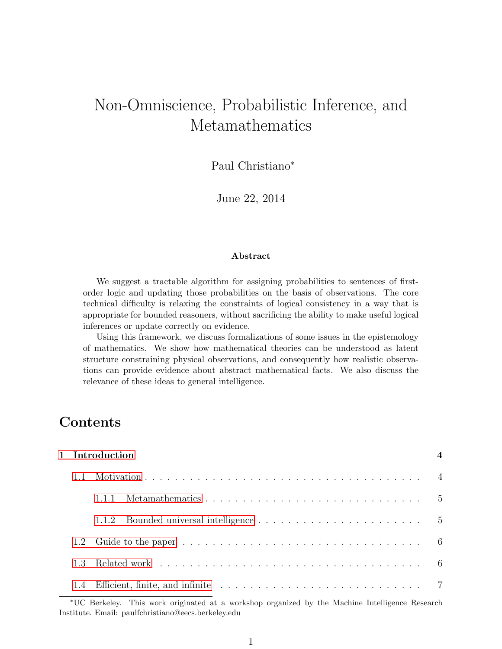# Non-Omniscience, Probabilistic Inference, and Metamathematics

Paul Christiano<sup>∗</sup>

June 22, 2014

#### Abstract

We suggest a tractable algorithm for assigning probabilities to sentences of firstorder logic and updating those probabilities on the basis of observations. The core technical difficulty is relaxing the constraints of logical consistency in a way that is appropriate for bounded reasoners, without sacrificing the ability to make useful logical inferences or update correctly on evidence.

Using this framework, we discuss formalizations of some issues in the epistemology of mathematics. We show how mathematical theories can be understood as latent structure constraining physical observations, and consequently how realistic observations can provide evidence about abstract mathematical facts. We also discuss the relevance of these ideas to general intelligence.

## Contents

| 1 Introduction |                                                                                                                                                                                                                               |  |  |  |  |  |  |
|----------------|-------------------------------------------------------------------------------------------------------------------------------------------------------------------------------------------------------------------------------|--|--|--|--|--|--|
| 1.1            |                                                                                                                                                                                                                               |  |  |  |  |  |  |
|                | 1.1.1                                                                                                                                                                                                                         |  |  |  |  |  |  |
|                | 1.1.2                                                                                                                                                                                                                         |  |  |  |  |  |  |
|                |                                                                                                                                                                                                                               |  |  |  |  |  |  |
| 1.3            | Related work responses in the contract of the contract of the contract of the contract of the contract of the contract of the contract of the contract of the contract of the contract of the contract of the contract of the |  |  |  |  |  |  |
|                |                                                                                                                                                                                                                               |  |  |  |  |  |  |

<sup>∗</sup>UC Berkeley. This work originated at a workshop organized by the Machine Intelligence Research Institute. Email: paulfchristiano@eecs.berkeley.edu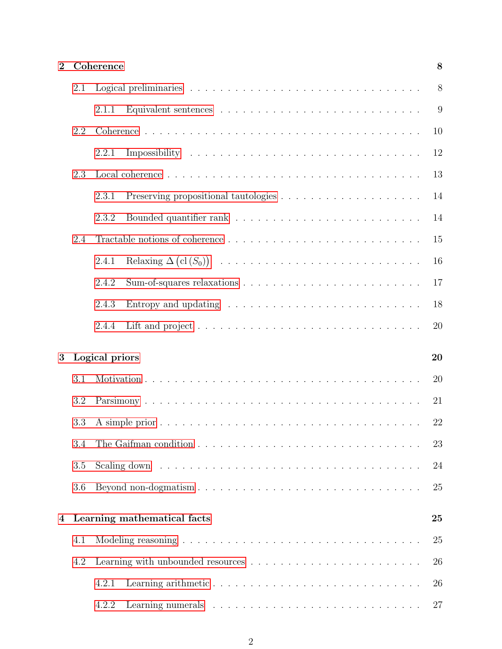| $\overline{2}$ |     | Coherence      |                                                                                | 8  |
|----------------|-----|----------------|--------------------------------------------------------------------------------|----|
|                | 2.1 |                |                                                                                | 8  |
|                |     | 2.1.1          |                                                                                | 9  |
|                | 2.2 |                |                                                                                | 10 |
|                |     | 2.2.1          |                                                                                | 12 |
|                | 2.3 |                |                                                                                | 13 |
|                |     | 2.3.1          |                                                                                | 14 |
|                |     | 2.3.2          |                                                                                | 14 |
|                | 2.4 |                |                                                                                | 15 |
|                |     | 2.4.1          |                                                                                | 16 |
|                |     | 2.4.2          |                                                                                | 17 |
|                |     | 2.4.3          | Entropy and updating $\ldots \ldots \ldots \ldots \ldots \ldots \ldots \ldots$ | 18 |
|                |     | 2.4.4          |                                                                                | 20 |
| 3              |     | Logical priors |                                                                                | 20 |
|                | 3.1 |                |                                                                                | 20 |
|                | 3.2 |                |                                                                                | 21 |
|                | 3.3 |                |                                                                                | 22 |
|                | 3.4 |                |                                                                                | 23 |
|                | 3.5 |                |                                                                                | 24 |
|                | 3.6 |                |                                                                                | 25 |
|                |     |                |                                                                                |    |
| 4              |     |                | Learning mathematical facts                                                    | 25 |
|                | 4.1 |                |                                                                                | 25 |
|                | 4.2 |                |                                                                                | 26 |
|                |     | 4.2.1          |                                                                                | 26 |
|                |     | 4.2.2          |                                                                                | 27 |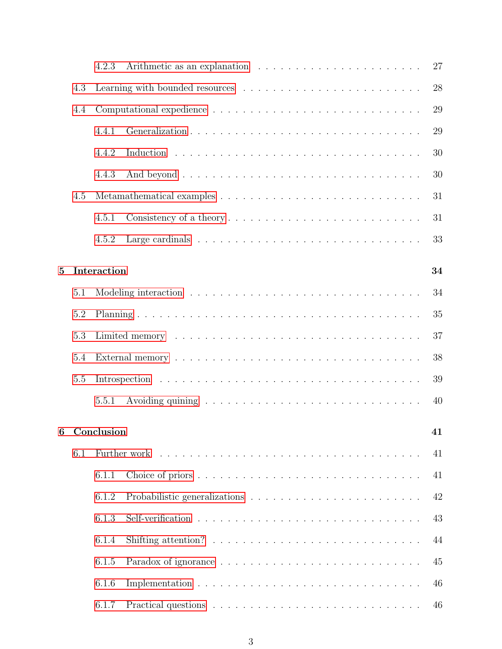|   |     | 27<br>4.2.3       |  |
|---|-----|-------------------|--|
|   | 4.3 | 28                |  |
|   | 4.4 | 29                |  |
|   |     | 29<br>4.4.1       |  |
|   |     | 30<br>4.4.2       |  |
|   |     | 30<br>4.4.3       |  |
|   | 4.5 | 31                |  |
|   |     | 4.5.1<br>31       |  |
|   |     | 4.5.2<br>33       |  |
| 5 |     | Interaction<br>34 |  |
|   |     |                   |  |
|   | 5.1 | 34                |  |
|   | 5.2 | 35                |  |
|   | 5.3 | 37                |  |
|   | 5.4 | 38                |  |
|   | 5.5 | 39                |  |
|   |     | 5.5.1<br>40       |  |
| 6 |     | Conclusion<br>41  |  |
|   |     |                   |  |
|   | 6.1 | 41                |  |
|   |     | 6.1.1<br>41       |  |
|   |     | 42<br>6.1.2       |  |
|   |     | 6.1.3<br>43       |  |
|   |     | 6.1.4<br>44       |  |
|   |     | 6.1.5<br>45       |  |
|   |     | 6.1.6<br>46       |  |
|   |     | 6.1.7<br>46       |  |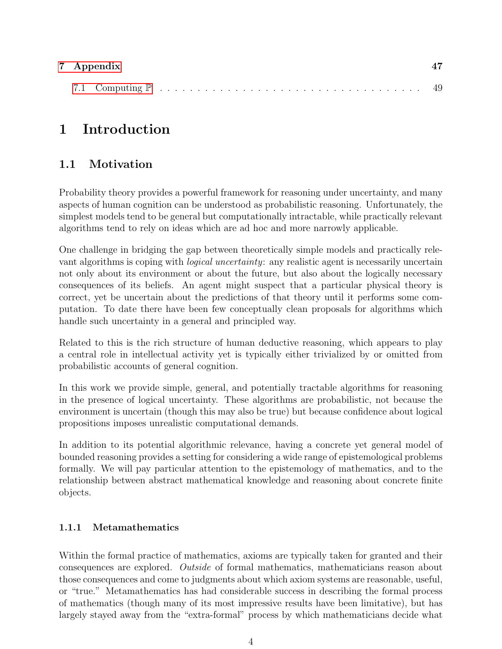| 7 Appendix |  |
|------------|--|
|            |  |

## <span id="page-3-0"></span>1 Introduction

## <span id="page-3-1"></span>1.1 Motivation

Probability theory provides a powerful framework for reasoning under uncertainty, and many aspects of human cognition can be understood as probabilistic reasoning. Unfortunately, the simplest models tend to be general but computationally intractable, while practically relevant algorithms tend to rely on ideas which are ad hoc and more narrowly applicable.

One challenge in bridging the gap between theoretically simple models and practically relevant algorithms is coping with *logical uncertainty*: any realistic agent is necessarily uncertain not only about its environment or about the future, but also about the logically necessary consequences of its beliefs. An agent might suspect that a particular physical theory is correct, yet be uncertain about the predictions of that theory until it performs some computation. To date there have been few conceptually clean proposals for algorithms which handle such uncertainty in a general and principled way.

Related to this is the rich structure of human deductive reasoning, which appears to play a central role in intellectual activity yet is typically either trivialized by or omitted from probabilistic accounts of general cognition.

In this work we provide simple, general, and potentially tractable algorithms for reasoning in the presence of logical uncertainty. These algorithms are probabilistic, not because the environment is uncertain (though this may also be true) but because confidence about logical propositions imposes unrealistic computational demands.

In addition to its potential algorithmic relevance, having a concrete yet general model of bounded reasoning provides a setting for considering a wide range of epistemological problems formally. We will pay particular attention to the epistemology of mathematics, and to the relationship between abstract mathematical knowledge and reasoning about concrete finite objects.

## <span id="page-3-2"></span>1.1.1 Metamathematics

Within the formal practice of mathematics, axioms are typically taken for granted and their consequences are explored. Outside of formal mathematics, mathematicians reason about those consequences and come to judgments about which axiom systems are reasonable, useful, or "true." Metamathematics has had considerable success in describing the formal process of mathematics (though many of its most impressive results have been limitative), but has largely stayed away from the "extra-formal" process by which mathematicians decide what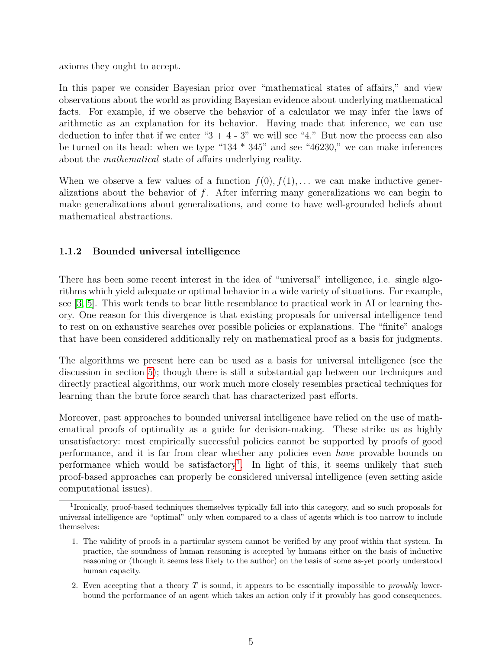axioms they ought to accept.

In this paper we consider Bayesian prior over "mathematical states of affairs," and view observations about the world as providing Bayesian evidence about underlying mathematical facts. For example, if we observe the behavior of a calculator we may infer the laws of arithmetic as an explanation for its behavior. Having made that inference, we can use deduction to infer that if we enter " $3 + 4 - 3$ " we will see "4." But now the process can also be turned on its head: when we type "134 \* 345" and see "46230," we can make inferences about the mathematical state of affairs underlying reality.

When we observe a few values of a function  $f(0), f(1), \ldots$  we can make inductive generalizations about the behavior of  $f$ . After inferring many generalizations we can begin to make generalizations about generalizations, and come to have well-grounded beliefs about mathematical abstractions.

### <span id="page-4-0"></span>1.1.2 Bounded universal intelligence

There has been some recent interest in the idea of "universal" intelligence, i.e. single algorithms which yield adequate or optimal behavior in a wide variety of situations. For example, see [\[3,](#page-46-1) [5\]](#page-46-2). This work tends to bear little resemblance to practical work in AI or learning theory. One reason for this divergence is that existing proposals for universal intelligence tend to rest on on exhaustive searches over possible policies or explanations. The "finite" analogs that have been considered additionally rely on mathematical proof as a basis for judgments.

The algorithms we present here can be used as a basis for universal intelligence (see the discussion in section [5\)](#page-33-0); though there is still a substantial gap between our techniques and directly practical algorithms, our work much more closely resembles practical techniques for learning than the brute force search that has characterized past efforts.

Moreover, past approaches to bounded universal intelligence have relied on the use of mathematical proofs of optimality as a guide for decision-making. These strike us as highly unsatisfactory: most empirically successful policies cannot be supported by proofs of good performance, and it is far from clear whether any policies even have provable bounds on performance which would be satisfactory<sup>[1](#page-4-1)</sup>. In light of this, it seems unlikely that such proof-based approaches can properly be considered universal intelligence (even setting aside computational issues).

<span id="page-4-1"></span><sup>&</sup>lt;sup>1</sup>Ironically, proof-based techniques themselves typically fall into this category, and so such proposals for universal intelligence are "optimal" only when compared to a class of agents which is too narrow to include themselves:

<sup>1.</sup> The validity of proofs in a particular system cannot be verified by any proof within that system. In practice, the soundness of human reasoning is accepted by humans either on the basis of inductive reasoning or (though it seems less likely to the author) on the basis of some as-yet poorly understood human capacity.

<sup>2.</sup> Even accepting that a theory  $T$  is sound, it appears to be essentially impossible to *provably* lowerbound the performance of an agent which takes an action only if it provably has good consequences.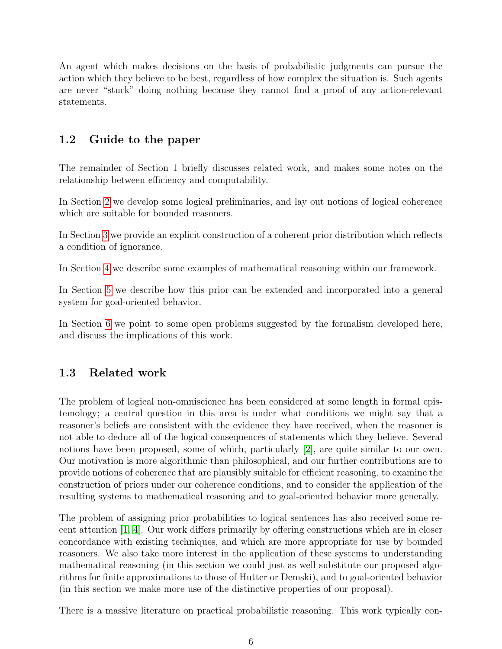An agent which makes decisions on the basis of probabilistic judgments can pursue the action which they believe to be best, regardless of how complex the situation is. Such agents are never "stuck" doing nothing because they cannot find a proof of any action-relevant statements.

## <span id="page-5-0"></span>1.2 Guide to the paper

The remainder of Section 1 briefly discusses related work, and makes some notes on the relationship between efficiency and computability.

In Section [2](#page-7-0) we develop some logical preliminaries, and lay out notions of logical coherence which are suitable for bounded reasoners.

In Section [3](#page-19-1) we provide an explicit construction of a coherent prior distribution which reflects a condition of ignorance.

In Section [4](#page-24-1) we describe some examples of mathematical reasoning within our framework.

In Section [5](#page-33-0) we describe how this prior can be extended and incorporated into a general system for goal-oriented behavior.

In Section [6](#page-40-0) we point to some open problems suggested by the formalism developed here, and discuss the implications of this work.

## <span id="page-5-1"></span>1.3 Related work

The problem of logical non-omniscience has been considered at some length in formal epistemology; a central question in this area is under what conditions we might say that a reasoner's beliefs are consistent with the evidence they have received, when the reasoner is not able to deduce all of the logical consequences of statements which they believe. Several notions have been proposed, some of which, particularly [\[2\]](#page-46-3), are quite similar to our own. Our motivation is more algorithmic than philosophical, and our further contributions are to provide notions of coherence that are plausibly suitable for efficient reasoning, to examine the construction of priors under our coherence conditions, and to consider the application of the resulting systems to mathematical reasoning and to goal-oriented behavior more generally.

The problem of assigning prior probabilities to logical sentences has also received some recent attention [\[1,](#page-45-2) [4\]](#page-46-4). Our work differs primarily by offering constructions which are in closer concordance with existing techniques, and which are more appropriate for use by bounded reasoners. We also take more interest in the application of these systems to understanding mathematical reasoning (in this section we could just as well substitute our proposed algorithms for finite approximations to those of Hutter or Demski), and to goal-oriented behavior (in this section we make more use of the distinctive properties of our proposal).

There is a massive literature on practical probabilistic reasoning. This work typically con-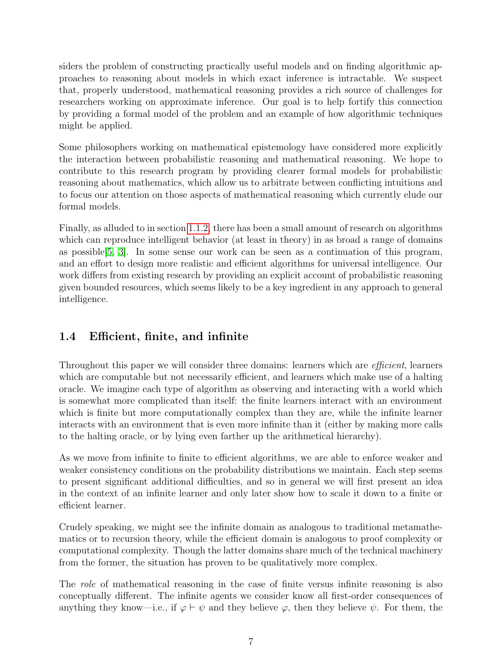siders the problem of constructing practically useful models and on finding algorithmic approaches to reasoning about models in which exact inference is intractable. We suspect that, properly understood, mathematical reasoning provides a rich source of challenges for researchers working on approximate inference. Our goal is to help fortify this connection by providing a formal model of the problem and an example of how algorithmic techniques might be applied.

Some philosophers working on mathematical epistemology have considered more explicitly the interaction between probabilistic reasoning and mathematical reasoning. We hope to contribute to this research program by providing clearer formal models for probabilistic reasoning about mathematics, which allow us to arbitrate between conflicting intuitions and to focus our attention on those aspects of mathematical reasoning which currently elude our formal models.

Finally, as alluded to in section [1.1.2,](#page-4-0) there has been a small amount of research on algorithms which can reproduce intelligent behavior (at least in theory) in as broad a range of domains as possible[\[5,](#page-46-2) [3\]](#page-46-1). In some sense our work can be seen as a continuation of this program, and an effort to design more realistic and efficient algorithms for universal intelligence. Our work differs from existing research by providing an explicit account of probabilistic reasoning given bounded resources, which seems likely to be a key ingredient in any approach to general intelligence.

## <span id="page-6-0"></span>1.4 Efficient, finite, and infinite

Throughout this paper we will consider three domains: learners which are *efficient*, learners which are computable but not necessarily efficient, and learners which make use of a halting oracle. We imagine each type of algorithm as observing and interacting with a world which is somewhat more complicated than itself: the finite learners interact with an environment which is finite but more computationally complex than they are, while the infinite learner interacts with an environment that is even more infinite than it (either by making more calls to the halting oracle, or by lying even farther up the arithmetical hierarchy).

As we move from infinite to finite to efficient algorithms, we are able to enforce weaker and weaker consistency conditions on the probability distributions we maintain. Each step seems to present significant additional difficulties, and so in general we will first present an idea in the context of an infinite learner and only later show how to scale it down to a finite or efficient learner.

Crudely speaking, we might see the infinite domain as analogous to traditional metamathematics or to recursion theory, while the efficient domain is analogous to proof complexity or computational complexity. Though the latter domains share much of the technical machinery from the former, the situation has proven to be qualitatively more complex.

The *role* of mathematical reasoning in the case of finite versus infinite reasoning is also conceptually different. The infinite agents we consider know all first-order consequences of anything they know—i.e., if  $\varphi \vdash \psi$  and they believe  $\varphi$ , then they believe  $\psi$ . For them, the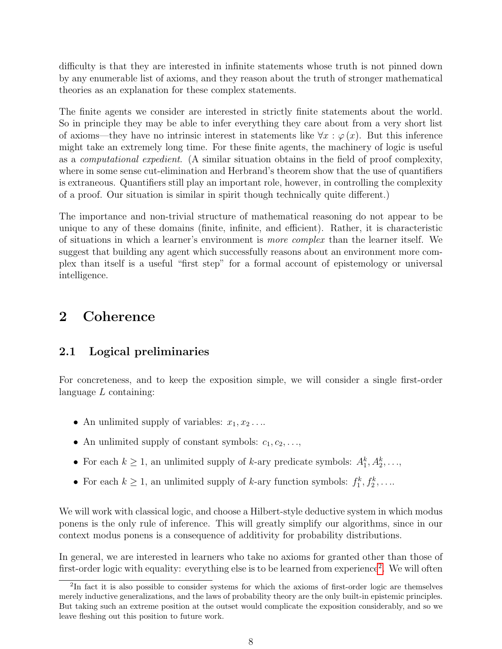difficulty is that they are interested in infinite statements whose truth is not pinned down by any enumerable list of axioms, and they reason about the truth of stronger mathematical theories as an explanation for these complex statements.

The finite agents we consider are interested in strictly finite statements about the world. So in principle they may be able to infer everything they care about from a very short list of axioms—they have no intrinsic interest in statements like  $\forall x : \varphi(x)$ . But this inference might take an extremely long time. For these finite agents, the machinery of logic is useful as a computational expedient. (A similar situation obtains in the field of proof complexity, where in some sense cut-elimination and Herbrand's theorem show that the use of quantifiers is extraneous. Quantifiers still play an important role, however, in controlling the complexity of a proof. Our situation is similar in spirit though technically quite different.)

The importance and non-trivial structure of mathematical reasoning do not appear to be unique to any of these domains (finite, infinite, and efficient). Rather, it is characteristic of situations in which a learner's environment is more complex than the learner itself. We suggest that building any agent which successfully reasons about an environment more complex than itself is a useful "first step" for a formal account of epistemology or universal intelligence.

## <span id="page-7-0"></span>2 Coherence

## <span id="page-7-1"></span>2.1 Logical preliminaries

For concreteness, and to keep the exposition simple, we will consider a single first-order language  $L$  containing:

- An unlimited supply of variables:  $x_1, x_2 \ldots$
- An unlimited supply of constant symbols:  $c_1, c_2, \ldots$ ,
- For each  $k \geq 1$ , an unlimited supply of k-ary predicate symbols:  $A_1^k, A_2^k, \ldots$ ,
- For each  $k \geq 1$ , an unlimited supply of k-ary function symbols:  $f_1^k, f_2^k, \ldots$

We will work with classical logic, and choose a Hilbert-style deductive system in which modus ponens is the only rule of inference. This will greatly simplify our algorithms, since in our context modus ponens is a consequence of additivity for probability distributions.

In general, we are interested in learners who take no axioms for granted other than those of first-order logic with equality: everything else is to be learned from experience<sup>[2](#page-7-2)</sup>. We will often

<span id="page-7-2"></span><sup>&</sup>lt;sup>2</sup>In fact it is also possible to consider systems for which the axioms of first-order logic are themselves merely inductive generalizations, and the laws of probability theory are the only built-in epistemic principles. But taking such an extreme position at the outset would complicate the exposition considerably, and so we leave fleshing out this position to future work.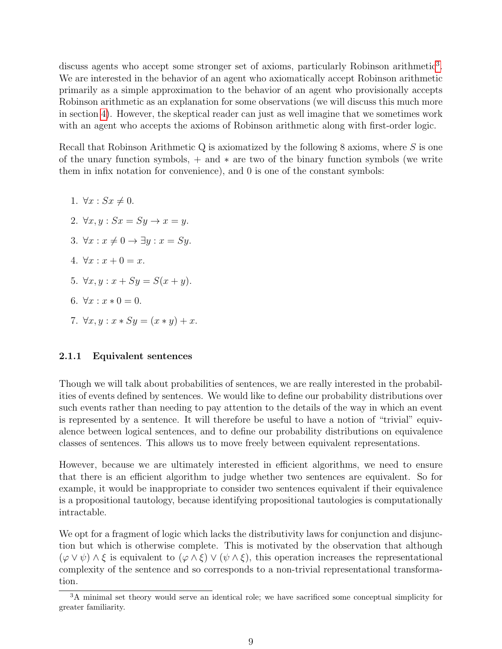discuss agents who accept some stronger set of axioms, particularly Robinson arithmetic<sup>[3](#page-8-1)</sup>. We are interested in the behavior of an agent who axiomatically accept Robinson arithmetic primarily as a simple approximation to the behavior of an agent who provisionally accepts Robinson arithmetic as an explanation for some observations (we will discuss this much more in section [4\)](#page-24-1). However, the skeptical reader can just as well imagine that we sometimes work with an agent who accepts the axioms of Robinson arithmetic along with first-order logic.

Recall that Robinson Arithmetic  $Q$  is axiomatized by the following 8 axioms, where  $S$  is one of the unary function symbols,  $+$  and  $*$  are two of the binary function symbols (we write them in infix notation for convenience), and 0 is one of the constant symbols:

1.  $\forall x : Sx \neq 0.$ 2.  $\forall x, y : Sx = Sy \rightarrow x = y$ . 3.  $\forall x : x \neq 0 \rightarrow \exists y : x = Sy.$ 4.  $\forall x : x + 0 = x$ . 5.  $\forall x, y : x + Sy = S(x + y)$ . 6.  $\forall x : x * 0 = 0$ . 7.  $\forall x, y : x * Sy = (x * y) + x$ .

#### <span id="page-8-0"></span>2.1.1 Equivalent sentences

Though we will talk about probabilities of sentences, we are really interested in the probabilities of events defined by sentences. We would like to define our probability distributions over such events rather than needing to pay attention to the details of the way in which an event is represented by a sentence. It will therefore be useful to have a notion of "trivial" equivalence between logical sentences, and to define our probability distributions on equivalence classes of sentences. This allows us to move freely between equivalent representations.

However, because we are ultimately interested in efficient algorithms, we need to ensure that there is an efficient algorithm to judge whether two sentences are equivalent. So for example, it would be inappropriate to consider two sentences equivalent if their equivalence is a propositional tautology, because identifying propositional tautologies is computationally intractable.

We opt for a fragment of logic which lacks the distributivity laws for conjunction and disjunction but which is otherwise complete. This is motivated by the observation that although  $(\varphi \vee \psi) \wedge \xi$  is equivalent to  $(\varphi \wedge \xi) \vee (\psi \wedge \xi)$ , this operation increases the representational complexity of the sentence and so corresponds to a non-trivial representational transformation.

<span id="page-8-1"></span><sup>3</sup>A minimal set theory would serve an identical role; we have sacrificed some conceptual simplicity for greater familiarity.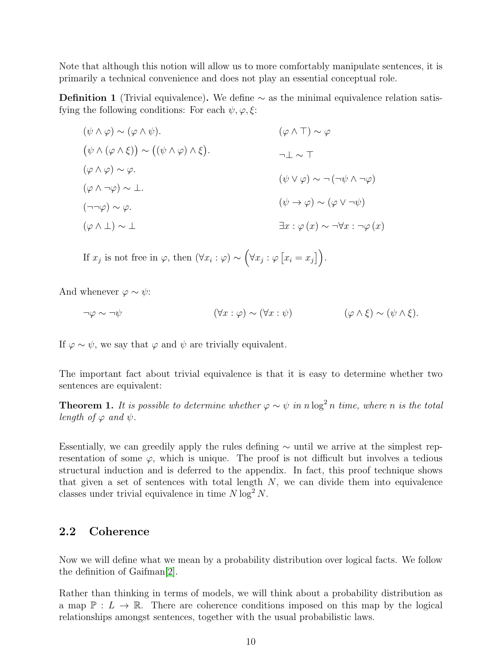Note that although this notion will allow us to more comfortably manipulate sentences, it is primarily a technical convenience and does not play an essential conceptual role.

**Definition 1** (Trivial equivalence). We define  $\sim$  as the minimal equivalence relation satisfying the following conditions: For each  $\psi, \varphi, \xi$ :

$$
(\psi \land \varphi) \sim (\varphi \land \psi).
$$
  
\n
$$
(\psi \land (\varphi \land \xi)) \sim ((\psi \land \varphi) \land \xi).
$$
  
\n
$$
(\varphi \land \varphi) \sim \varphi.
$$
  
\n
$$
(\varphi \land \varphi) \sim \varphi.
$$
  
\n
$$
(\varphi \land \neg \varphi) \sim \bot.
$$
  
\n
$$
(\neg \neg \varphi) \sim \varphi.
$$
  
\n
$$
(\varphi \land \bot) \sim \bot
$$
  
\n
$$
(\varphi \land \bot) \sim \bot
$$
  
\n
$$
\exists x : \varphi(x) \sim \neg \forall x : \neg \varphi(x)
$$

If  $x_j$  is not free in  $\varphi$ , then  $(\forall x_i : \varphi) \sim (\forall x_j : \varphi [x_i = x_j]).$ 

And whenever  $\varphi \sim \psi$ :

$$
\neg \varphi \sim \neg \psi \qquad (\forall x : \varphi) \sim (\forall x : \psi) \qquad (\varphi \land \xi) \sim (\psi \land \xi).
$$

If  $\varphi \sim \psi$ , we say that  $\varphi$  and  $\psi$  are trivially equivalent.

The important fact about trivial equivalence is that it is easy to determine whether two sentences are equivalent:

**Theorem 1.** It is possible to determine whether  $\varphi \sim \psi$  in n log<sup>2</sup> n time, where n is the total length of  $\varphi$  and  $\psi$ .

Essentially, we can greedily apply the rules defining  $\sim$  until we arrive at the simplest representation of some  $\varphi$ , which is unique. The proof is not difficult but involves a tedious structural induction and is deferred to the appendix. In fact, this proof technique shows that given a set of sentences with total length  $N$ , we can divide them into equivalence classes under trivial equivalence in time  $N \log^2 N$ .

### <span id="page-9-0"></span>2.2 Coherence

Now we will define what we mean by a probability distribution over logical facts. We follow the definition of Gaifman[\[2\]](#page-46-3).

Rather than thinking in terms of models, we will think about a probability distribution as a map  $\mathbb{P}: L \to \mathbb{R}$ . There are coherence conditions imposed on this map by the logical relationships amongst sentences, together with the usual probabilistic laws.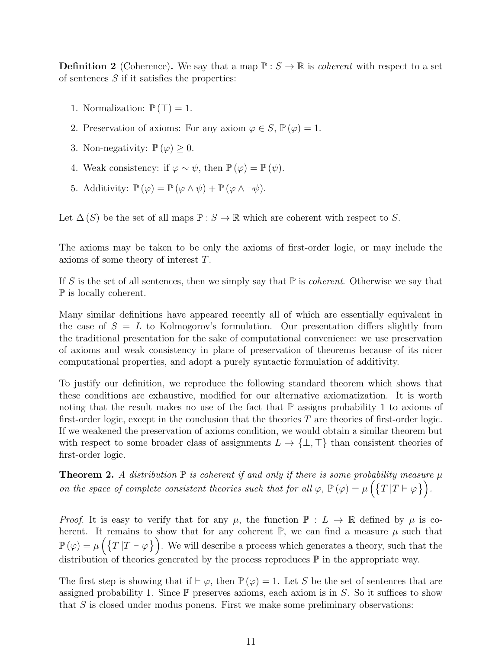**Definition 2** (Coherence). We say that a map  $\mathbb{P}: S \to \mathbb{R}$  is *coherent* with respect to a set of sentences  $S$  if it satisfies the properties:

- 1. Normalization:  $\mathbb{P}(\top) = 1$ .
- 2. Preservation of axioms: For any axiom  $\varphi \in S$ ,  $\mathbb{P}(\varphi) = 1$ .
- 3. Non-negativity:  $\mathbb{P}(\varphi) \geq 0$ .
- 4. Weak consistency: if  $\varphi \sim \psi$ , then  $\mathbb{P}(\varphi) = \mathbb{P}(\psi)$ .
- 5. Additivity:  $\mathbb{P}(\varphi) = \mathbb{P}(\varphi \wedge \psi) + \mathbb{P}(\varphi \wedge \neg \psi)$ .

Let  $\Delta(S)$  be the set of all maps  $\mathbb{P}: S \to \mathbb{R}$  which are coherent with respect to S.

The axioms may be taken to be only the axioms of first-order logic, or may include the axioms of some theory of interest T.

If S is the set of all sentences, then we simply say that  $\mathbb P$  is *coherent*. Otherwise we say that P is locally coherent.

Many similar definitions have appeared recently all of which are essentially equivalent in the case of  $S = L$  to Kolmogorov's formulation. Our presentation differs slightly from the traditional presentation for the sake of computational convenience: we use preservation of axioms and weak consistency in place of preservation of theorems because of its nicer computational properties, and adopt a purely syntactic formulation of additivity.

To justify our definition, we reproduce the following standard theorem which shows that these conditions are exhaustive, modified for our alternative axiomatization. It is worth noting that the result makes no use of the fact that  $\mathbb P$  assigns probability 1 to axioms of first-order logic, except in the conclusion that the theories  $T$  are theories of first-order logic. If we weakened the preservation of axioms condition, we would obtain a similar theorem but with respect to some broader class of assignments  $L \to \{\perp, \top\}$  than consistent theories of first-order logic.

<span id="page-10-0"></span>**Theorem 2.** A distribution  $\mathbb P$  is coherent if and only if there is some probability measure  $\mu$ on the space of complete consistent theories such that for all  $\varphi$ ,  $\mathbb{P}(\varphi) = \mu \left( \{T | T \vdash \varphi \} \right)$ .

*Proof.* It is easy to verify that for any  $\mu$ , the function  $\mathbb{P}: L \to \mathbb{R}$  defined by  $\mu$  is coherent. It remains to show that for any coherent  $\mathbb{P}$ , we can find a measure  $\mu$  such that  $\mathbb{P}(\varphi) = \mu\left(\left\{T|T \vdash \varphi\right\}\right)$ . We will describe a process which generates a theory, such that the distribution of theories generated by the process reproduces  $\mathbb P$  in the appropriate way.

The first step is showing that if  $\vdash \varphi$ , then  $\mathbb{P}(\varphi) = 1$ . Let S be the set of sentences that are assigned probability 1. Since  $\mathbb P$  preserves axioms, each axiom is in S. So it suffices to show that  $S$  is closed under modus ponens. First we make some preliminary observations: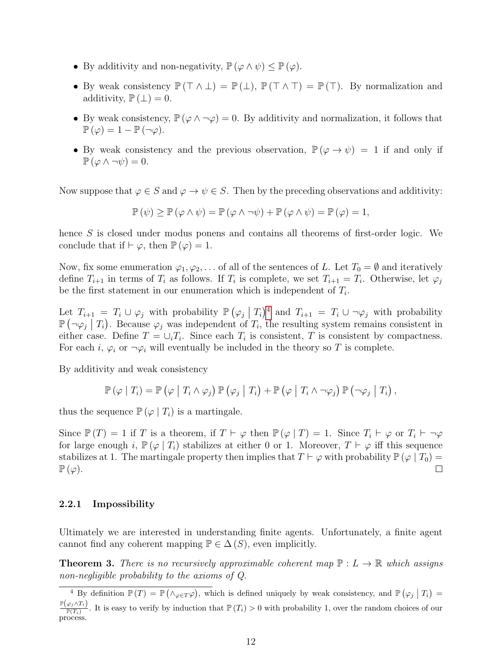- By additivity and non-negativity,  $\mathbb{P}(\varphi \wedge \psi) \leq \mathbb{P}(\varphi)$ .
- By weak consistency  $\mathbb{P}(\top \wedge \bot) = \mathbb{P}(\bot)$ ,  $\mathbb{P}(\top \wedge \top) = \mathbb{P}(\top)$ . By normalization and additivity,  $\mathbb{P}(\perp) = 0$ .
- By weak consistency,  $\mathbb{P}(\varphi \wedge \neg \varphi) = 0$ . By additivity and normalization, it follows that  $\mathbb{P}\left(\varphi\right) = 1 - \mathbb{P}\left(\neg\varphi\right).$
- By weak consistency and the previous observation,  $\mathbb{P}(\varphi \to \psi) = 1$  if and only if  $\mathbb{P}(\varphi \wedge \neg \psi) = 0.$

Now suppose that  $\varphi \in S$  and  $\varphi \to \psi \in S$ . Then by the preceding observations and additivity:

$$
\mathbb{P}(\psi) \ge \mathbb{P}(\varphi \land \psi) = \mathbb{P}(\varphi \land \neg \psi) + \mathbb{P}(\varphi \land \psi) = \mathbb{P}(\varphi) = 1,
$$

hence S is closed under modus ponens and contains all theorems of first-order logic. We conclude that if  $\vdash \varphi$ , then  $\mathbb{P}(\varphi) = 1$ .

Now, fix some enumeration  $\varphi_1, \varphi_2, \ldots$  of all of the sentences of L. Let  $T_0 = \emptyset$  and iteratively define  $T_{i+1}$  in terms of  $T_i$  as follows. If  $T_i$  is complete, we set  $T_{i+1} = T_i$ . Otherwise, let  $\varphi_j$ be the first statement in our enumeration which is independent of  $T_i$ .

Let  $T_{i+1} = T_i \cup \varphi_j$  with probability  $\mathbb{P}(\varphi_j | T_i)^4$  $\mathbb{P}(\varphi_j | T_i)^4$  and  $T_{i+1} = T_i \cup \neg \varphi_j$  with probability  $\mathbb{P}(\neg \varphi_j | T_i)$ . Because  $\varphi_j$  was independent of  $T_i$ , the resulting system remains consistent in either case. Define  $T = \bigcup_i T_i$ . Since each  $T_i$  is consistent, T is consistent by compactness. For each i,  $\varphi_i$  or  $\neg \varphi_i$  will eventually be included in the theory so T is complete.

By additivity and weak consistency

$$
\mathbb{P}(\varphi | T_i) = \mathbb{P}(\varphi | T_i \wedge \varphi_j) \mathbb{P}(\varphi_i | T_i) + \mathbb{P}(\varphi | T_i \wedge \neg \varphi_j) \mathbb{P}(\neg \varphi_i | T_i),
$$

thus the sequence  $\mathbb{P}(\varphi | T_i)$  is a martingale.

Since  $\mathbb{P}(T) = 1$  if T is a theorem, if  $T \vdash \varphi$  then  $\mathbb{P}(\varphi | T) = 1$ . Since  $T_i \vdash \varphi$  or  $T_i \vdash \neg \varphi$ for large enough i,  $\mathbb{P}(\varphi | T_i)$  stabilizes at either 0 or 1. Moreover,  $T \vdash \varphi$  iff this sequence stabilizes at 1. The martingale property then implies that  $T \vdash \varphi$  with probability  $\mathbb{P}(\varphi | T_0) =$  $\mathbb{P}\left(\varphi\right).$  $\Box$ 

#### <span id="page-11-0"></span>2.2.1 Impossibility

Ultimately we are interested in understanding finite agents. Unfortunately, a finite agent cannot find any coherent mapping  $\mathbb{P} \in \Delta(S)$ , even implicitly.

<span id="page-11-2"></span>**Theorem 3.** There is no recursively approximable coherent map  $\mathbb{P}: L \to \mathbb{R}$  which assigns non-negligible probability to the axioms of Q.

<span id="page-11-1"></span><sup>&</sup>lt;sup>4</sup> By definition  $\mathbb{P}(T) = \mathbb{P}(\wedge_{\varphi \in T} \varphi)$ , which is defined uniquely by weak consistency, and  $\mathbb{P}(\varphi_j | T_i) =$  $\mathbb{P}\big(\varphi_j \!\wedge\! T_i\big)$  $\frac{\varphi_j \wedge T_i}{\mathbb{P}(T_i)}$ . It is easy to verify by induction that  $\mathbb{P}(T_i) > 0$  with probability 1, over the random choices of our process.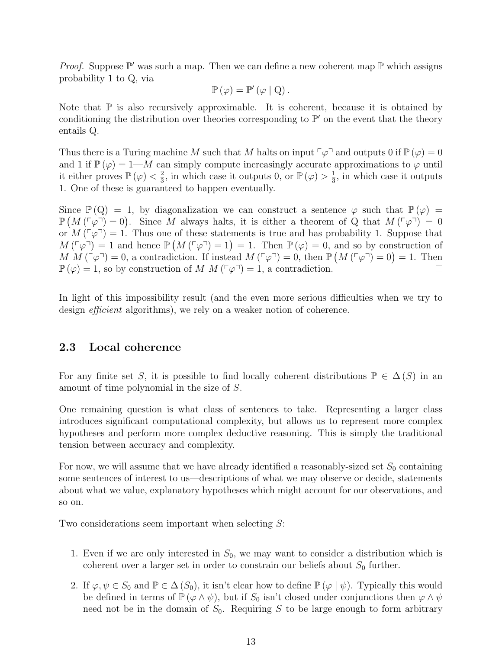*Proof.* Suppose  $\mathbb{P}'$  was such a map. Then we can define a new coherent map  $\mathbb{P}$  which assigns probability 1 to Q, via

$$
\mathbb{P}(\varphi) = \mathbb{P}'(\varphi \mid Q).
$$

Note that  $\mathbb P$  is also recursively approximable. It is coherent, because it is obtained by conditioning the distribution over theories corresponding to  $\mathbb{P}'$  on the event that the theory entails Q.

Thus there is a Turing machine M such that M halts on input  $\lceil \varphi \rceil$  and outputs 0 if  $\mathbb{P}(\varphi) = 0$ and 1 if  $\mathbb{P}(\varphi) = 1-M$  can simply compute increasingly accurate approximations to  $\varphi$  until it either proves  $\mathbb{P}(\varphi) < \frac{2}{3}$  $\frac{2}{3}$ , in which case it outputs 0, or  $\mathbb{P}(\varphi) > \frac{1}{3}$  $\frac{1}{3}$ , in which case it outputs 1. One of these is guaranteed to happen eventually.

Since  $\mathbb{P}(\mathbf{Q}) = 1$ , by diagonalization we can construct a sentence  $\varphi$  such that  $\mathbb{P}(\varphi) =$  $\mathbb{P}(M(\lceil \varphi \rceil) = 0)$ . Since M always halts, it is either a theorem of Q that  $M(\lceil \varphi \rceil) = 0$ or  $M(\lceil \varphi \rceil) = 1$ . Thus one of these statements is true and has probability 1. Suppose that  $M(\lceil \varphi \rceil) = 1$  and hence  $\mathbb{P}(M(\lceil \varphi \rceil) = 1) = 1$ . Then  $\mathbb{P}(\varphi) = 0$ , and so by construction of M  $M(\ulcorner\varphi\urcorner)=0$ , a contradiction. If instead  $M(\ulcorner\varphi\urcorner)=0$ , then  $\mathbb{P}(M(\ulcorner\varphi\urcorner)=0)=1$ . Then  $\mathbb{P}(\varphi) = 1$ , so by construction of M  $M(\lceil \varphi \rceil) = 1$ , a contradiction.  $\Box$ 

In light of this impossibility result (and the even more serious difficulties when we try to design *efficient* algorithms), we rely on a weaker notion of coherence.

### <span id="page-12-0"></span>2.3 Local coherence

For any finite set S, it is possible to find locally coherent distributions  $\mathbb{P} \in \Delta(S)$  in an amount of time polynomial in the size of S.

One remaining question is what class of sentences to take. Representing a larger class introduces significant computational complexity, but allows us to represent more complex hypotheses and perform more complex deductive reasoning. This is simply the traditional tension between accuracy and complexity.

For now, we will assume that we have already identified a reasonably-sized set  $S_0$  containing some sentences of interest to us—descriptions of what we may observe or decide, statements about what we value, explanatory hypotheses which might account for our observations, and so on.

Two considerations seem important when selecting S:

- 1. Even if we are only interested in  $S_0$ , we may want to consider a distribution which is coherent over a larger set in order to constrain our beliefs about  $S_0$  further.
- 2. If  $\varphi, \psi \in S_0$  and  $\mathbb{P} \in \Delta(S_0)$ , it isn't clear how to define  $\mathbb{P}(\varphi | \psi)$ . Typically this would be defined in terms of  $\mathbb{P}(\varphi \wedge \psi)$ , but if  $S_0$  isn't closed under conjunctions then  $\varphi \wedge \psi$ need not be in the domain of  $S_0$ . Requiring S to be large enough to form arbitrary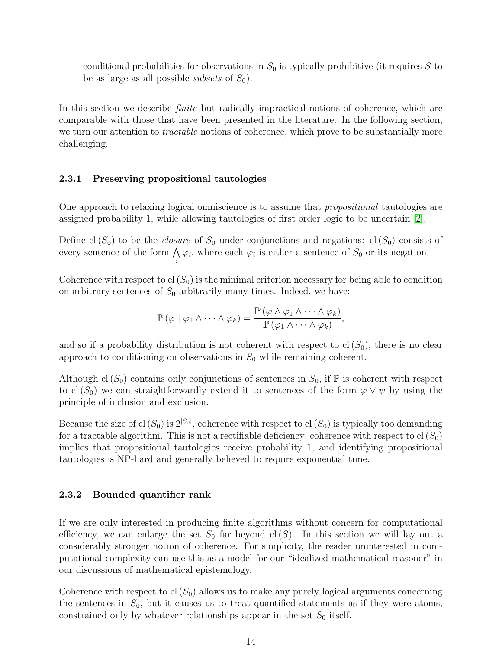conditional probabilities for observations in  $S_0$  is typically prohibitive (it requires S to be as large as all possible *subsets* of  $S_0$ .

In this section we describe *finite* but radically impractical notions of coherence, which are comparable with those that have been presented in the literature. In the following section, we turn our attention to *tractable* notions of coherence, which prove to be substantially more challenging.

#### <span id="page-13-0"></span>2.3.1 Preserving propositional tautologies

i

One approach to relaxing logical omniscience is to assume that propositional tautologies are assigned probability 1, while allowing tautologies of first order logic to be uncertain [\[2\]](#page-46-3).

Define cl  $(S_0)$  to be the *closure* of  $S_0$  under conjunctions and negations: cl  $(S_0)$  consists of every sentence of the form  $\bigwedge$  $\varphi_i$ , where each  $\varphi_i$  is either a sentence of  $S_0$  or its negation.

Coherence with respect to cl  $(S_0)$  is the minimal criterion necessary for being able to condition on arbitrary sentences of  $S_0$  arbitrarily many times. Indeed, we have:

$$
\mathbb{P}(\varphi \mid \varphi_1 \wedge \cdots \wedge \varphi_k) = \frac{\mathbb{P}(\varphi \wedge \varphi_1 \wedge \cdots \wedge \varphi_k)}{\mathbb{P}(\varphi_1 \wedge \cdots \wedge \varphi_k)},
$$

and so if a probability distribution is not coherent with respect to  $cl(S_0)$ , there is no clear approach to conditioning on observations in  $S_0$  while remaining coherent.

Although cl  $(S_0)$  contains only conjunctions of sentences in  $S_0$ , if  $\mathbb P$  is coherent with respect to cl  $(S_0)$  we can straightforwardly extend it to sentences of the form  $\varphi \vee \psi$  by using the principle of inclusion and exclusion.

Because the size of cl  $(S_0)$  is  $2^{|S_0|}$ , coherence with respect to cl  $(S_0)$  is typically too demanding for a tractable algorithm. This is not a rectifiable deficiency; coherence with respect to cl  $(S_0)$ implies that propositional tautologies receive probability 1, and identifying propositional tautologies is NP-hard and generally believed to require exponential time.

#### <span id="page-13-1"></span>2.3.2 Bounded quantifier rank

If we are only interested in producing finite algorithms without concern for computational efficiency, we can enlarge the set  $S_0$  far beyond cl(S). In this section we will lay out a considerably stronger notion of coherence. For simplicity, the reader uninterested in computational complexity can use this as a model for our "idealized mathematical reasoner" in our discussions of mathematical epistemology.

Coherence with respect to cl  $(S_0)$  allows us to make any purely logical arguments concerning the sentences in  $S_0$ , but it causes us to treat quantified statements as if they were atoms, constrained only by whatever relationships appear in the set  $S_0$  itself.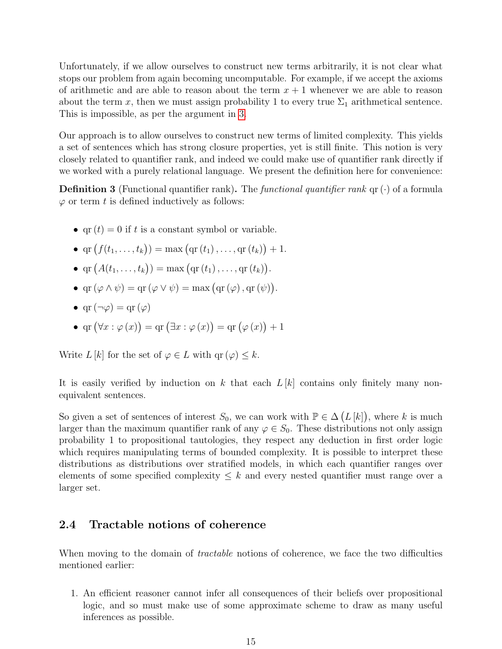Unfortunately, if we allow ourselves to construct new terms arbitrarily, it is not clear what stops our problem from again becoming uncomputable. For example, if we accept the axioms of arithmetic and are able to reason about the term  $x + 1$  whenever we are able to reason about the term x, then we must assign probability 1 to every true  $\Sigma_1$  arithmetical sentence. This is impossible, as per the argument in [3.](#page-11-2)

Our approach is to allow ourselves to construct new terms of limited complexity. This yields a set of sentences which has strong closure properties, yet is still finite. This notion is very closely related to quantifier rank, and indeed we could make use of quantifier rank directly if we worked with a purely relational language. We present the definition here for convenience:

**Definition 3** (Functional quantifier rank). The *functional quantifier rank*  $qr(\cdot)$  of a formula  $\varphi$  or term t is defined inductively as follows:

- qr  $(t) = 0$  if t is a constant symbol or variable.
- $\text{qr}(f(t_1,...,t_k)) = \max(\text{qr}(t_1),..., \text{qr}(t_k)) + 1.$
- $\text{qr}(A(t_1,...,t_k)) = \max(\text{qr}(t_1),..., \text{qr}(t_k)).$
- $\text{qr}(\varphi \wedge \psi) = \text{qr}(\varphi \vee \psi) = \max(\text{qr}(\varphi), \text{qr}(\psi)).$
- $\text{qr}(\neg \varphi) = \text{qr}(\varphi)$
- qr  $(\forall x : \varphi(x)) = \text{qr } (\exists x : \varphi(x)) = \text{qr } (\varphi(x)) + 1$

Write  $L [k]$  for the set of  $\varphi \in L$  with  $\text{qr }(\varphi) \leq k$ .

It is easily verified by induction on k that each  $L[k]$  contains only finitely many nonequivalent sentences.

So given a set of sentences of interest  $S_0$ , we can work with  $\mathbb{P} \in \Delta(L[k])$ , where k is much larger than the maximum quantifier rank of any  $\varphi \in S_0$ . These distributions not only assign probability 1 to propositional tautologies, they respect any deduction in first order logic which requires manipulating terms of bounded complexity. It is possible to interpret these distributions as distributions over stratified models, in which each quantifier ranges over elements of some specified complexity  $\leq k$  and every nested quantifier must range over a larger set.

## <span id="page-14-0"></span>2.4 Tractable notions of coherence

When moving to the domain of *tractable* notions of coherence, we face the two difficulties mentioned earlier:

1. An efficient reasoner cannot infer all consequences of their beliefs over propositional logic, and so must make use of some approximate scheme to draw as many useful inferences as possible.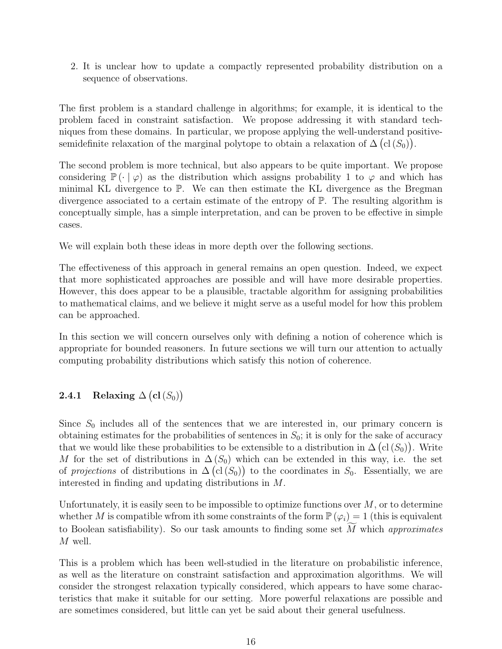2. It is unclear how to update a compactly represented probability distribution on a sequence of observations.

The first problem is a standard challenge in algorithms; for example, it is identical to the problem faced in constraint satisfaction. We propose addressing it with standard techniques from these domains. In particular, we propose applying the well-understand positivesemidefinite relaxation of the marginal polytope to obtain a relaxation of  $\Delta(\text{cl}(S_0)).$ 

The second problem is more technical, but also appears to be quite important. We propose considering  $\mathbb{P}(\cdot | \varphi)$  as the distribution which assigns probability 1 to  $\varphi$  and which has minimal KL divergence to P. We can then estimate the KL divergence as the Bregman divergence associated to a certain estimate of the entropy of P. The resulting algorithm is conceptually simple, has a simple interpretation, and can be proven to be effective in simple cases.

We will explain both these ideas in more depth over the following sections.

The effectiveness of this approach in general remains an open question. Indeed, we expect that more sophisticated approaches are possible and will have more desirable properties. However, this does appear to be a plausible, tractable algorithm for assigning probabilities to mathematical claims, and we believe it might serve as a useful model for how this problem can be approached.

In this section we will concern ourselves only with defining a notion of coherence which is appropriate for bounded reasoners. In future sections we will turn our attention to actually computing probability distributions which satisfy this notion of coherence.

## <span id="page-15-0"></span> $\textbf{2.4.1} \quad$  Relaxing  $\Delta \left(\textbf{cl}\left(S_{0}\right)\right)$

Since  $S_0$  includes all of the sentences that we are interested in, our primary concern is obtaining estimates for the probabilities of sentences in  $S_0$ ; it is only for the sake of accuracy that we would like these probabilities to be extensible to a distribution in  $\Delta(\text{cl}(S_0))$ . Write M for the set of distributions in  $\Delta(S_0)$  which can be extended in this way, i.e. the set of projections of distributions in  $\Delta(\text{cl}(S_0))$  to the coordinates in  $S_0$ . Essentially, we are interested in finding and updating distributions in M.

Unfortunately, it is easily seen to be impossible to optimize functions over  $M$ , or to determine whether M is compatible wfrom ith some constraints of the form  $\mathbb{P}(\varphi_i) = 1$  (this is equivalent to Boolean satisfiability). So our task amounts to finding some set  $\overline{M}$  which approximates M well.

This is a problem which has been well-studied in the literature on probabilistic inference, as well as the literature on constraint satisfaction and approximation algorithms. We will consider the strongest relaxation typically considered, which appears to have some characteristics that make it suitable for our setting. More powerful relaxations are possible and are sometimes considered, but little can yet be said about their general usefulness.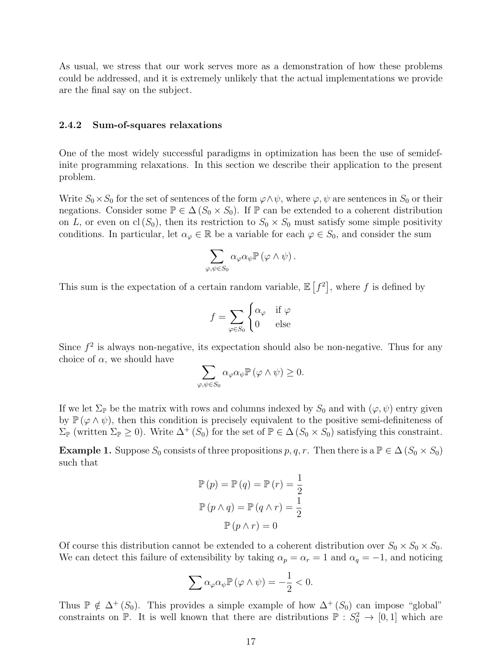As usual, we stress that our work serves more as a demonstration of how these problems could be addressed, and it is extremely unlikely that the actual implementations we provide are the final say on the subject.

#### <span id="page-16-0"></span>2.4.2 Sum-of-squares relaxations

One of the most widely successful paradigms in optimization has been the use of semidefinite programming relaxations. In this section we describe their application to the present problem.

Write  $S_0 \times S_0$  for the set of sentences of the form  $\varphi \land \psi$ , where  $\varphi, \psi$  are sentences in  $S_0$  or their negations. Consider some  $\mathbb{P} \in \Delta(S_0 \times S_0)$ . If  $\mathbb{P}$  can be extended to a coherent distribution on L, or even on cl  $(S_0)$ , then its restriction to  $S_0 \times S_0$  must satisfy some simple positivity conditions. In particular, let  $\alpha_{\varphi} \in \mathbb{R}$  be a variable for each  $\varphi \in S_0$ , and consider the sum

$$
\sum_{\varphi,\psi\in S_0}\alpha_\varphi\alpha_\psi\mathbb{P}\left(\varphi\wedge\psi\right).
$$

This sum is the expectation of a certain random variable,  $\mathbb{E}[f^2]$ , where f is defined by

$$
f = \sum_{\varphi \in S_0} \begin{cases} \alpha_{\varphi} & \text{if } \varphi \\ 0 & \text{else} \end{cases}
$$

Since  $f^2$  is always non-negative, its expectation should also be non-negative. Thus for any choice of  $\alpha$ , we should have

$$
\sum_{\varphi,\psi\in S_{0}}\alpha_{\varphi}\alpha_{\psi}\mathbb{P}\left(\varphi\wedge\psi\right)\geq0.
$$

If we let  $\Sigma_{\mathbb{P}}$  be the matrix with rows and columns indexed by  $S_0$  and with  $(\varphi, \psi)$  entry given by  $\mathbb{P}(\varphi \wedge \psi)$ , then this condition is precisely equivalent to the positive semi-definiteness of  $\Sigma_{\mathbb{P}}$  (written  $\Sigma_{\mathbb{P}} \geq 0$ ). Write  $\Delta^+(S_0)$  for the set of  $\mathbb{P} \in \Delta(S_0 \times S_0)$  satisfying this constraint.

**Example 1.** Suppose  $S_0$  consists of three propositions p, q, r. Then there is a  $\mathbb{P} \in \Delta (S_0 \times S_0)$ such that

$$
\mathbb{P}(p) = \mathbb{P}(q) = \mathbb{P}(r) = \frac{1}{2}
$$

$$
\mathbb{P}(p \land q) = \mathbb{P}(q \land r) = \frac{1}{2}
$$

$$
\mathbb{P}(p \land r) = 0
$$

Of course this distribution cannot be extended to a coherent distribution over  $S_0 \times S_0 \times S_0$ . We can detect this failure of extensibility by taking  $\alpha_p = \alpha_r = 1$  and  $\alpha_q = -1$ , and noticing

$$
\sum \alpha_{\varphi} \alpha_{\psi} \mathbb{P} \left( \varphi \wedge \psi \right) = -\frac{1}{2} < 0.
$$

Thus  $\mathbb{P} \notin \Delta^+(S_0)$ . This provides a simple example of how  $\Delta^+(S_0)$  can impose "global" constraints on  $\mathbb{P}$ . It is well known that there are distributions  $\mathbb{P}: S_0^2 \to [0,1]$  which are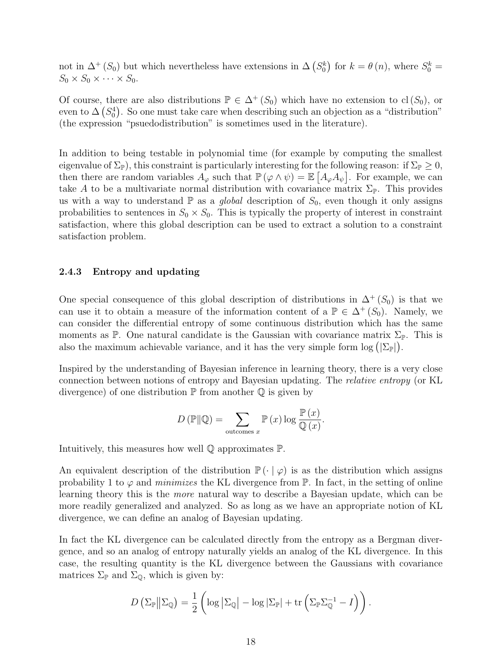not in  $\Delta^+(S_0)$  but which nevertheless have extensions in  $\Delta(S_0^k)$  for  $k = \theta(n)$ , where  $S_0^k =$  $S_0 \times S_0 \times \cdots \times S_0$ .

Of course, there are also distributions  $\mathbb{P} \in \Delta^+(S_0)$  which have no extension to cl( $S_0$ ), or even to  $\Delta(S_0^4)$ . So one must take care when describing such an objection as a "distribution" (the expression "psuedodistribution" is sometimes used in the literature).

In addition to being testable in polynomial time (for example by computing the smallest eigenvalue of  $\Sigma_{\mathbb{P}}$ ), this constraint is particularly interesting for the following reason: if  $\Sigma_{\mathbb{P}} \geq 0$ , then there are random variables  $A_{\varphi}$  such that  $\mathbb{P}(\varphi \wedge \psi) = \mathbb{E}[A_{\varphi}A_{\psi}]$ . For example, we can take A to be a multivariate normal distribution with covariance matrix  $\Sigma_{\mathbb{P}}$ . This provides us with a way to understand  $\mathbb P$  as a *global* description of  $S_0$ , even though it only assigns probabilities to sentences in  $S_0 \times S_0$ . This is typically the property of interest in constraint satisfaction, where this global description can be used to extract a solution to a constraint satisfaction problem.

#### <span id="page-17-0"></span>2.4.3 Entropy and updating

One special consequence of this global description of distributions in  $\Delta^+(S_0)$  is that we can use it to obtain a measure of the information content of a  $\mathbb{P} \in \Delta^+(S_0)$ . Namely, we can consider the differential entropy of some continuous distribution which has the same moments as  $\mathbb{P}$ . One natural candidate is the Gaussian with covariance matrix  $\Sigma_{\mathbb{P}}$ . This is also the maximum achievable variance, and it has the very simple form  $\log (\Sigma_{\mathbb{P}})$ .

Inspired by the understanding of Bayesian inference in learning theory, there is a very close connection between notions of entropy and Bayesian updating. The relative entropy (or KL divergence) of one distribution  $\mathbb P$  from another  $\mathbb Q$  is given by

$$
D(\mathbb{P}||\mathbb{Q}) = \sum_{\text{outcomes } x} \mathbb{P}(x) \log \frac{\mathbb{P}(x)}{\mathbb{Q}(x)}.
$$

Intuitively, this measures how well Q approximates P.

An equivalent description of the distribution  $\mathbb{P}(\cdot | \varphi)$  is as the distribution which assigns probability 1 to  $\varphi$  and minimizes the KL divergence from  $\mathbb{P}$ . In fact, in the setting of online learning theory this is the more natural way to describe a Bayesian update, which can be more readily generalized and analyzed. So as long as we have an appropriate notion of KL divergence, we can define an analog of Bayesian updating.

In fact the KL divergence can be calculated directly from the entropy as a Bergman divergence, and so an analog of entropy naturally yields an analog of the KL divergence. In this case, the resulting quantity is the KL divergence between the Gaussians with covariance matrices  $\Sigma_{\mathbb{P}}$  and  $\Sigma_{\mathbb{Q}}$ , which is given by:

$$
D\left(\Sigma_{\mathbb{P}}\middle\|\Sigma_{\mathbb{Q}}\right)=\frac{1}{2}\left(\log\left|\Sigma_{\mathbb{Q}}\right|-\log\left|\Sigma_{\mathbb{P}}\right|+\operatorname{tr}\left(\Sigma_{\mathbb{P}}\Sigma_{\mathbb{Q}}^{-1}-I\right)\right).
$$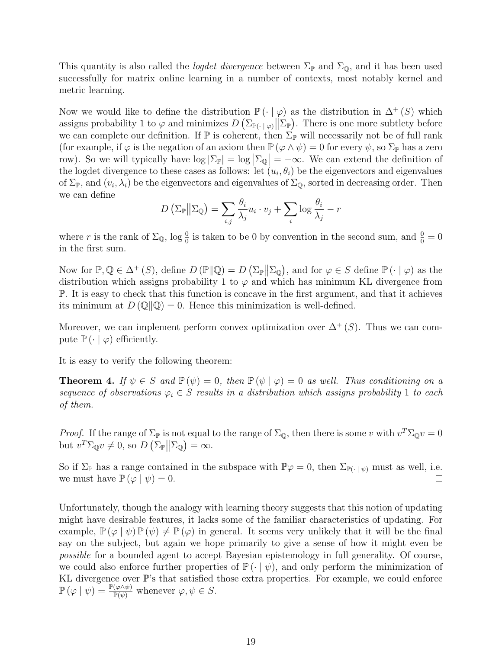This quantity is also called the *logdet divergence* between  $\Sigma_{\mathbb{P}}$  and  $\Sigma_{\mathbb{Q}}$ , and it has been used successfully for matrix online learning in a number of contexts, most notably kernel and metric learning.

Now we would like to define the distribution  $\mathbb{P}(\cdot | \varphi)$  as the distribution in  $\Delta^+(S)$  which assigns probability 1 to  $\varphi$  and minimizes  $D\left(\sum_{\mathbb{P}(\cdot | \varphi)} \|\sum_{\mathbb{P}}\right)$ . There is one more subtlety before we can complete our definition. If  $\mathbb P$  is coherent, then  $\Sigma_{\mathbb P}$  will necessarily not be of full rank (for example, if  $\varphi$  is the negation of an axiom then  $\mathbb{P}(\varphi \wedge \psi) = 0$  for every  $\psi$ , so  $\Sigma_{\mathbb{P}}$  has a zero row). So we will typically have  $\log |\Sigma_{\mathbb{P}}| = \log |\Sigma_{\mathbb{Q}}| = -\infty$ . We can extend the definition of the logdet divergence to these cases as follows: let  $(u_i, \theta_i)$  be the eigenvectors and eigenvalues of  $\Sigma_{\mathbb{P}}$ , and  $(v_i, \lambda_i)$  be the eigenvectors and eigenvalues of  $\Sigma_{\mathbb{Q}}$ , sorted in decreasing order. Then we can define

$$
D\left(\Sigma_{\mathbb{P}}\middle\|\Sigma_{\mathbb{Q}}\right) = \sum_{i,j} \frac{\theta_i}{\lambda_j} u_i \cdot v_j + \sum_i \log \frac{\theta_i}{\lambda_j} - r
$$

where r is the rank of  $\Sigma_{\mathbb{Q}}$ , log  $\frac{0}{0}$  is taken to be 0 by convention in the second sum, and  $\frac{0}{0} = 0$ in the first sum.

Now for  $\mathbb{P}, \mathbb{Q} \in \Delta^+ (S)$ , define  $D (\mathbb{P} \| \mathbb{Q}) = D (\Sigma_{\mathbb{P}} \| \Sigma_{\mathbb{Q}})$ , and for  $\varphi \in S$  define  $\mathbb{P} (\cdot | \varphi)$  as the distribution which assigns probability 1 to  $\varphi$  and which has minimum KL divergence from P. It is easy to check that this function is concave in the first argument, and that it achieves its minimum at  $D(\mathbb{Q} \mid \mathbb{Q}) = 0$ . Hence this minimization is well-defined.

Moreover, we can implement perform convex optimization over  $\Delta^+(S)$ . Thus we can compute  $\mathbb{P}(\cdot | \varphi)$  efficiently.

It is easy to verify the following theorem:

**Theorem 4.** If  $\psi \in S$  and  $\mathbb{P}(\psi) = 0$ , then  $\mathbb{P}(\psi | \varphi) = 0$  as well. Thus conditioning on a sequence of observations  $\varphi_i \in S$  results in a distribution which assigns probability 1 to each of them.

*Proof.* If the range of  $\Sigma_{\mathbb{P}}$  is not equal to the range of  $\Sigma_{\mathbb{Q}}$ , then there is some v with  $v^T \Sigma_{\mathbb{Q}} v = 0$ but  $v^T \Sigma_{\mathbb{Q}} v \neq 0$ , so  $D\left(\Sigma_{\mathbb{P}} \middle| \Sigma_{\mathbb{Q}}\right) = \infty$ .

So if  $\Sigma_{\mathbb{P}}$  has a range contained in the subspace with  $\mathbb{P}\varphi = 0$ , then  $\Sigma_{\mathbb{P}(\cdot | \psi)}$  must as well, i.e. we must have  $\mathbb{P}(\varphi | \psi) = 0$ .  $\Box$ 

Unfortunately, though the analogy with learning theory suggests that this notion of updating might have desirable features, it lacks some of the familiar characteristics of updating. For example,  $\mathbb{P}(\varphi | \psi) \mathbb{P}(\psi) \neq \mathbb{P}(\varphi)$  in general. It seems very unlikely that it will be the final say on the subject, but again we hope primarily to give a sense of how it might even be possible for a bounded agent to accept Bayesian epistemology in full generality. Of course, we could also enforce further properties of  $\mathbb{P}(\cdot | \psi)$ , and only perform the minimization of KL divergence over P's that satisfied those extra properties. For example, we could enforce  $\mathbb{P}(\varphi | \psi) = \frac{\mathbb{P}(\varphi \wedge \psi)}{\mathbb{P}(\psi)}$  whenever  $\varphi, \psi \in S$ .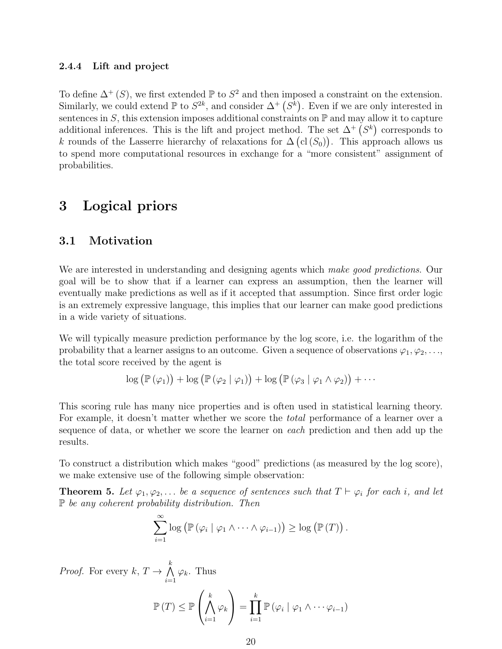#### <span id="page-19-0"></span>2.4.4 Lift and project

To define  $\Delta^+(S)$ , we first extended  $\mathbb P$  to  $S^2$  and then imposed a constraint on the extension. Similarly, we could extend  $\mathbb P$  to  $S^{2k}$ , and consider  $\Delta^+(S^{\overline{k}})$ . Even if we are only interested in sentences in  $S$ , this extension imposes additional constraints on  $\mathbb P$  and may allow it to capture additional inferences. This is the lift and project method. The set  $\Delta^+(S^k)$  corresponds to k rounds of the Lasserre hierarchy of relaxations for  $\Delta(\text{cl}(S_0))$ . This approach allows us to spend more computational resources in exchange for a "more consistent" assignment of probabilities.

## <span id="page-19-1"></span>3 Logical priors

### <span id="page-19-2"></span>3.1 Motivation

We are interested in understanding and designing agents which make good predictions. Our goal will be to show that if a learner can express an assumption, then the learner will eventually make predictions as well as if it accepted that assumption. Since first order logic is an extremely expressive language, this implies that our learner can make good predictions in a wide variety of situations.

We will typically measure prediction performance by the log score, i.e. the logarithm of the probability that a learner assigns to an outcome. Given a sequence of observations  $\varphi_1, \varphi_2, \ldots$ the total score received by the agent is

$$
\log (\mathbb{P}(\varphi_1)) + \log (\mathbb{P}(\varphi_2 \mid \varphi_1)) + \log (\mathbb{P}(\varphi_3 \mid \varphi_1 \wedge \varphi_2)) + \cdots
$$

This scoring rule has many nice properties and is often used in statistical learning theory. For example, it doesn't matter whether we score the *total* performance of a learner over a sequence of data, or whether we score the learner on each prediction and then add up the results.

To construct a distribution which makes "good" predictions (as measured by the log score), we make extensive use of the following simple observation:

<span id="page-19-3"></span>**Theorem 5.** Let  $\varphi_1, \varphi_2, \ldots$  be a sequence of sentences such that  $T \vdash \varphi_i$  for each i, and let  $\mathbb P$  be any coherent probability distribution. Then

$$
\sum_{i=1}^{\infty} \log (\mathbb{P}(\varphi_i \mid \varphi_1 \wedge \cdots \wedge \varphi_{i-1})) \geq \log (\mathbb{P}(T)).
$$

*Proof.* For every  $k, T \to \bigwedge^k$  $i=1$  $\varphi_k$ . Thus

$$
\mathbb{P}(T) \leq \mathbb{P}\left(\bigwedge_{i=1}^k \varphi_k\right) = \prod_{i=1}^k \mathbb{P}\left(\varphi_i \mid \varphi_1 \wedge \cdots \varphi_{i-1}\right)
$$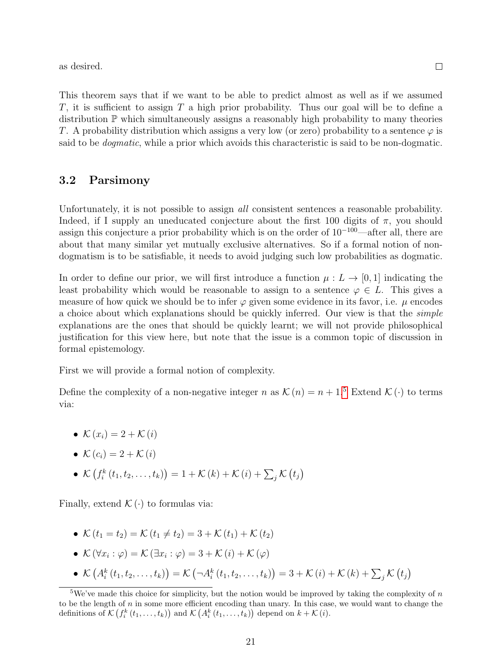as desired.

 $\Box$ 

This theorem says that if we want to be able to predict almost as well as if we assumed T, it is sufficient to assign  $T$  a high prior probability. Thus our goal will be to define a distribution P which simultaneously assigns a reasonably high probability to many theories T. A probability distribution which assigns a very low (or zero) probability to a sentence  $\varphi$  is said to be *dogmatic*, while a prior which avoids this characteristic is said to be non-dogmatic.

### <span id="page-20-0"></span>3.2 Parsimony

Unfortunately, it is not possible to assign *all* consistent sentences a reasonable probability. Indeed, if I supply an uneducated conjecture about the first 100 digits of  $\pi$ , you should assign this conjecture a prior probability which is on the order of  $10^{-100}$ —after all, there are about that many similar yet mutually exclusive alternatives. So if a formal notion of nondogmatism is to be satisfiable, it needs to avoid judging such low probabilities as dogmatic.

In order to define our prior, we will first introduce a function  $\mu : L \to [0, 1]$  indicating the least probability which would be reasonable to assign to a sentence  $\varphi \in L$ . This gives a measure of how quick we should be to infer  $\varphi$  given some evidence in its favor, i.e.  $\mu$  encodes a choice about which explanations should be quickly inferred. Our view is that the *simple* explanations are the ones that should be quickly learnt; we will not provide philosophical justification for this view here, but note that the issue is a common topic of discussion in formal epistemology.

First we will provide a formal notion of complexity.

Define the complexity of a non-negative integer n as  $\mathcal{K}(n) = n + 1.5$  $\mathcal{K}(n) = n + 1.5$  Extend  $\mathcal{K}(\cdot)$  to terms via:

- $\mathcal{K}(x_i) = 2 + \mathcal{K}(i)$
- $\mathcal{K}(c_i) = 2 + \mathcal{K}(i)$
- $\mathcal{K}\left(f_i^k(t_1, t_2, \ldots, t_k)\right) = 1 + \mathcal{K}(k) + \mathcal{K}(i) + \sum_j \mathcal{K}(t_j)$

Finally, extend  $\mathcal{K}(\cdot)$  to formulas via:

- $\mathcal{K}(t_1 = t_2) = \mathcal{K}(t_1 \neq t_2) = 3 + \mathcal{K}(t_1) + \mathcal{K}(t_2)$
- $\mathcal{K}(\forall x_i : \varphi) = \mathcal{K}(\exists x_i : \varphi) = 3 + \mathcal{K}(i) + \mathcal{K}(\varphi)$
- $\mathcal{K}(\mathcal{A}_i^k(t_1, t_2, \ldots, t_k)) = \mathcal{K}(\neg \mathcal{A}_i^k(t_1, t_2, \ldots, t_k)) = 3 + \mathcal{K}(i) + \mathcal{K}(k) + \sum_j \mathcal{K}(t_j)$

<span id="page-20-1"></span><sup>&</sup>lt;sup>5</sup>We've made this choice for simplicity, but the notion would be improved by taking the complexity of n to be the length of  $n$  in some more efficient encoding than unary. In this case, we would want to change the definitions of  $\mathcal{K}\left(f_i^k(t_1,\ldots,t_k)\right)$  and  $\mathcal{K}\left(A_i^k(t_1,\ldots,t_k)\right)$  depend on  $k+\mathcal{K}(i)$ .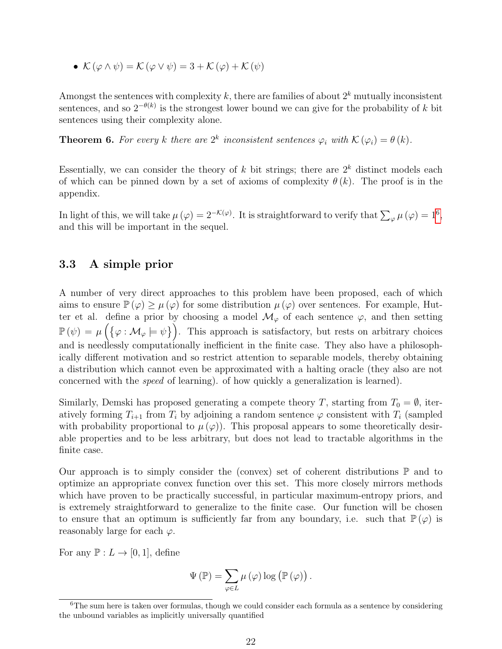•  $\mathcal{K}(\varphi \wedge \psi) = \mathcal{K}(\varphi \vee \psi) = 3 + \mathcal{K}(\varphi) + \mathcal{K}(\psi)$ 

Amongst the sentences with complexity k, there are families of about  $2^k$  mutually inconsistent sentences, and so  $2^{-\theta(k)}$  is the strongest lower bound we can give for the probability of k bit sentences using their complexity alone.

**Theorem 6.** For every k there are  $2^k$  inconsistent sentences  $\varphi_i$  with  $\mathcal{K}(\varphi_i) = \theta(k)$ .

Essentially, we can consider the theory of k bit strings; there are  $2^k$  distinct models each of which can be pinned down by a set of axioms of complexity  $\theta(k)$ . The proof is in the appendix.

In light of this, we will take  $\mu(\varphi) = 2^{-\mathcal{K}(\varphi)}$ . It is straightforward to verify that  $\sum_{\varphi} \mu(\varphi) = 1^6$  $\sum_{\varphi} \mu(\varphi) = 1^6$ , and this will be important in the sequel.

### <span id="page-21-0"></span>3.3 A simple prior

A number of very direct approaches to this problem have been proposed, each of which aims to ensure  $\mathbb{P}(\varphi) \geq \mu(\varphi)$  for some distribution  $\mu(\varphi)$  over sentences. For example, Hutter et al. define a prior by choosing a model  $\mathcal{M}_{\varphi}$  of each sentence  $\varphi$ , and then setting  $\mathbb{P}(\psi) = \mu\left(\{\varphi : \mathcal{M}_{\varphi} \models \psi\}\right)$ . This approach is satisfactory, but rests on arbitrary choices and is needlessly computationally inefficient in the finite case. They also have a philosophically different motivation and so restrict attention to separable models, thereby obtaining a distribution which cannot even be approximated with a halting oracle (they also are not concerned with the speed of learning). of how quickly a generalization is learned).

Similarly, Demski has proposed generating a compete theory T, starting from  $T_0 = \emptyset$ , iteratively forming  $T_{i+1}$  from  $T_i$  by adjoining a random sentence  $\varphi$  consistent with  $T_i$  (sampled with probability proportional to  $\mu(\varphi)$ . This proposal appears to some theoretically desirable properties and to be less arbitrary, but does not lead to tractable algorithms in the finite case.

Our approach is to simply consider the (convex) set of coherent distributions  $\mathbb P$  and to optimize an appropriate convex function over this set. This more closely mirrors methods which have proven to be practically successful, in particular maximum-entropy priors, and is extremely straightforward to generalize to the finite case. Our function will be chosen to ensure that an optimum is sufficiently far from any boundary, i.e. such that  $\mathbb{P}(\varphi)$  is reasonably large for each  $\varphi$ .

For any  $\mathbb{P}: L \to [0,1]$ , define

$$
\Psi(\mathbb{P}) = \sum_{\varphi \in L} \mu(\varphi) \log (\mathbb{P}(\varphi)).
$$

<span id="page-21-1"></span> ${}^{6}$ The sum here is taken over formulas, though we could consider each formula as a sentence by considering the unbound variables as implicitly universally quantified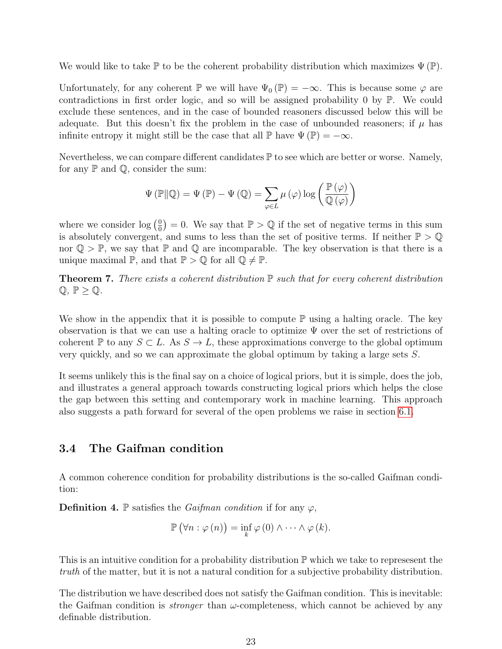We would like to take  $\mathbb P$  to be the coherent probability distribution which maximizes  $\Psi(\mathbb P)$ .

Unfortunately, for any coherent P we will have  $\Psi_0(\mathbb{P}) = -\infty$ . This is because some  $\varphi$  are contradictions in first order logic, and so will be assigned probability 0 by P. We could exclude these sentences, and in the case of bounded reasoners discussed below this will be adequate. But this doesn't fix the problem in the case of unbounded reasoners; if  $\mu$  has infinite entropy it might still be the case that all  $\mathbb P$  have  $\Psi(\mathbb P) = -\infty$ .

Nevertheless, we can compare different candidates  $\mathbb P$  to see which are better or worse. Namely, for any  $\mathbb P$  and  $\mathbb Q$ , consider the sum:

$$
\Psi(\mathbb{P}||\mathbb{Q}) = \Psi(\mathbb{P}) - \Psi(\mathbb{Q}) = \sum_{\varphi \in L} \mu(\varphi) \log \left( \frac{\mathbb{P}(\varphi)}{\mathbb{Q}(\varphi)} \right)
$$

where we consider  $\log(\frac{0}{0})$  $\left(\frac{0}{0}\right) = 0$ . We say that  $\mathbb{P} > \mathbb{Q}$  if the set of negative terms in this sum is absolutely convergent, and sums to less than the set of positive terms. If neither  $\mathbb{P} > \mathbb{Q}$ nor  $\mathbb{Q} > \mathbb{P}$ , we say that  $\mathbb{P}$  and  $\mathbb{Q}$  are incomparable. The key observation is that there is a unique maximal  $\mathbb{P}$ , and that  $\mathbb{P} > \mathbb{Q}$  for all  $\mathbb{Q} \neq \mathbb{P}$ .

<span id="page-22-1"></span>**Theorem 7.** There exists a coherent distribution  $\mathbb P$  such that for every coherent distribution  $\mathbb{Q}, \mathbb{P} \geq \mathbb{Q}.$ 

We show in the appendix that it is possible to compute  $\mathbb P$  using a halting oracle. The key observation is that we can use a halting oracle to optimize  $\Psi$  over the set of restrictions of coherent P to any  $S \subset L$ . As  $S \to L$ , these approximations converge to the global optimum very quickly, and so we can approximate the global optimum by taking a large sets S.

It seems unlikely this is the final say on a choice of logical priors, but it is simple, does the job, and illustrates a general approach towards constructing logical priors which helps the close the gap between this setting and contemporary work in machine learning. This approach also suggests a path forward for several of the open problems we raise in section [6.1.](#page-40-1)

### <span id="page-22-0"></span>3.4 The Gaifman condition

A common coherence condition for probability distributions is the so-called Gaifman condition:

**Definition 4.** P satisfies the *Gaifman condition* if for any  $\varphi$ ,

$$
\mathbb{P}(\forall n:\varphi(n))=\inf_{k}\varphi(0)\wedge\cdots\wedge\varphi(k).
$$

This is an intuitive condition for a probability distribution  $\mathbb P$  which we take to represesent the truth of the matter, but it is not a natural condition for a subjective probability distribution.

The distribution we have described does not satisfy the Gaifman condition. This is inevitable: the Gaifman condition is *stronger* than  $\omega$ -completeness, which cannot be achieved by any definable distribution.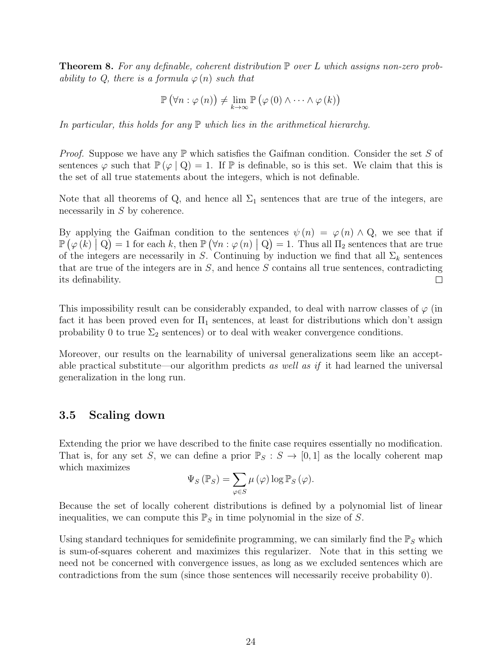<span id="page-23-1"></span>**Theorem 8.** For any definable, coherent distribution  $\mathbb P$  over L which assigns non-zero probability to Q, there is a formula  $\varphi(n)$  such that

$$
\mathbb{P}\left(\forall n:\varphi\left(n\right)\right)\neq\lim_{k\rightarrow\infty}\mathbb{P}\left(\varphi\left(0\right)\wedge\cdots\wedge\varphi\left(k\right)\right)
$$

In particular, this holds for any  $\mathbb P$  which lies in the arithmetical hierarchy.

*Proof.* Suppose we have any  $\mathbb P$  which satisfies the Gaifman condition. Consider the set S of sentences  $\varphi$  such that  $\mathbb{P}(\varphi \mid Q) = 1$ . If  $\mathbb{P}$  is definable, so is this set. We claim that this is the set of all true statements about the integers, which is not definable.

Note that all theorems of Q, and hence all  $\Sigma_1$  sentences that are true of the integers, are necessarily in S by coherence.

By applying the Gaifman condition to the sentences  $\psi(n) = \varphi(n) \wedge Q$ , we see that if  $\mathbb{P}(\varphi(k) \mid \mathbf{Q}) = 1$  for each k, then  $\mathbb{P}(\forall n : \varphi(n) \mid \mathbf{Q}) = 1$ . Thus all  $\Pi_2$  sentences that are true of the integers are necessarily in S. Continuing by induction we find that all  $\Sigma_k$  sentences that are true of the integers are in  $S$ , and hence  $S$  contains all true sentences, contradicting its definability.  $\Box$ 

This impossibility result can be considerably expanded, to deal with narrow classes of  $\varphi$  (in fact it has been proved even for  $\Pi_1$  sentences, at least for distributions which don't assign probability 0 to true  $\Sigma_2$  sentences) or to deal with weaker convergence conditions.

Moreover, our results on the learnability of universal generalizations seem like an acceptable practical substitute—our algorithm predicts as well as if it had learned the universal generalization in the long run.

### <span id="page-23-0"></span>3.5 Scaling down

Extending the prior we have described to the finite case requires essentially no modification. That is, for any set S, we can define a prior  $\mathbb{P}_S : S \to [0,1]$  as the locally coherent map which maximizes

$$
\Psi_{S}(\mathbb{P}_{S}) = \sum_{\varphi \in S} \mu(\varphi) \log \mathbb{P}_{S}(\varphi).
$$

Because the set of locally coherent distributions is defined by a polynomial list of linear inequalities, we can compute this  $\mathbb{P}_S$  in time polynomial in the size of S.

Using standard techniques for semidefinite programming, we can similarly find the  $\mathbb{P}_S$  which is sum-of-squares coherent and maximizes this regularizer. Note that in this setting we need not be concerned with convergence issues, as long as we excluded sentences which are contradictions from the sum (since those sentences will necessarily receive probability 0).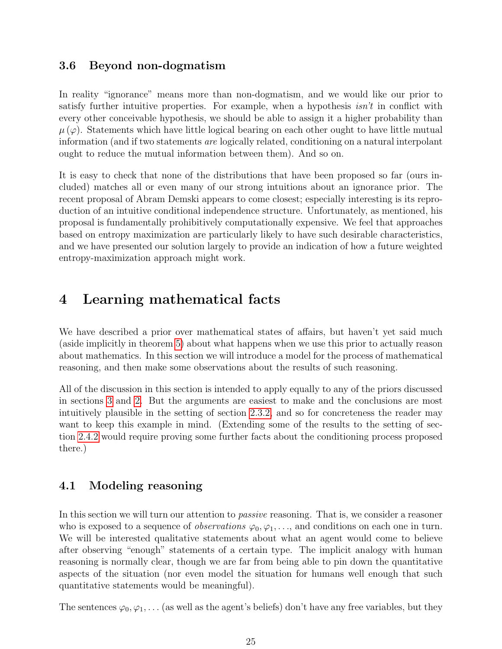### <span id="page-24-0"></span>3.6 Beyond non-dogmatism

In reality "ignorance" means more than non-dogmatism, and we would like our prior to satisfy further intuitive properties. For example, when a hypothesis  $isn't$  in conflict with every other conceivable hypothesis, we should be able to assign it a higher probability than  $\mu(\varphi)$ . Statements which have little logical bearing on each other ought to have little mutual information (and if two statements are logically related, conditioning on a natural interpolant ought to reduce the mutual information between them). And so on.

It is easy to check that none of the distributions that have been proposed so far (ours included) matches all or even many of our strong intuitions about an ignorance prior. The recent proposal of Abram Demski appears to come closest; especially interesting is its reproduction of an intuitive conditional independence structure. Unfortunately, as mentioned, his proposal is fundamentally prohibitively computationally expensive. We feel that approaches based on entropy maximization are particularly likely to have such desirable characteristics, and we have presented our solution largely to provide an indication of how a future weighted entropy-maximization approach might work.

## <span id="page-24-1"></span>4 Learning mathematical facts

We have described a prior over mathematical states of affairs, but haven't yet said much (aside implicitly in theorem [5\)](#page-19-3) about what happens when we use this prior to actually reason about mathematics. In this section we will introduce a model for the process of mathematical reasoning, and then make some observations about the results of such reasoning.

All of the discussion in this section is intended to apply equally to any of the priors discussed in sections [3](#page-19-1) and [2.](#page-7-0) But the arguments are easiest to make and the conclusions are most intuitively plausible in the setting of section [2.3.2,](#page-13-1) and so for concreteness the reader may want to keep this example in mind. (Extending some of the results to the setting of section [2.4.2](#page-16-0) would require proving some further facts about the conditioning process proposed there.)

## <span id="page-24-2"></span>4.1 Modeling reasoning

In this section we will turn our attention to *passive* reasoning. That is, we consider a reasoner who is exposed to a sequence of *observations*  $\varphi_0, \varphi_1, \ldots$ , and conditions on each one in turn. We will be interested qualitative statements about what an agent would come to believe after observing "enough" statements of a certain type. The implicit analogy with human reasoning is normally clear, though we are far from being able to pin down the quantitative aspects of the situation (nor even model the situation for humans well enough that such quantitative statements would be meaningful).

The sentences  $\varphi_0, \varphi_1, \ldots$  (as well as the agent's beliefs) don't have any free variables, but they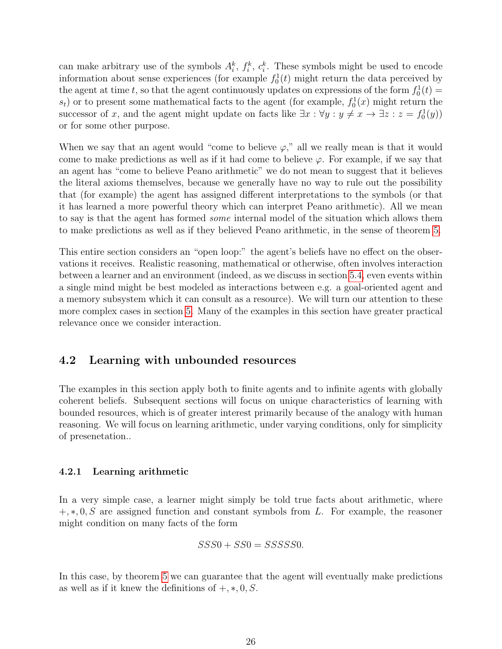can make arbitrary use of the symbols  $A_i^k$ ,  $f_i^k$ ,  $c_i^k$ . These symbols might be used to encode information about sense experiences (for example  $f_0^1(t)$  might return the data perceived by the agent at time t, so that the agent continuously updates on expressions of the form  $f_0^1(t) =$  $s_t$ ) or to present some mathematical facts to the agent (for example,  $f_0<sup>1</sup>(x)$  might return the successor of x, and the agent might update on facts like  $\exists x : \forall y : y \neq x \rightarrow \exists z : z = f_0^1(y)$ or for some other purpose.

When we say that an agent would "come to believe  $\varphi$ ," all we really mean is that it would come to make predictions as well as if it had come to believe  $\varphi$ . For example, if we say that an agent has "come to believe Peano arithmetic" we do not mean to suggest that it believes the literal axioms themselves, because we generally have no way to rule out the possibility that (for example) the agent has assigned different interpretations to the symbols (or that it has learned a more powerful theory which can interpret Peano arithmetic). All we mean to say is that the agent has formed some internal model of the situation which allows them to make predictions as well as if they believed Peano arithmetic, in the sense of theorem [5.](#page-19-3)

This entire section considers an "open loop:" the agent's beliefs have no effect on the observations it receives. Realistic reasoning, mathematical or otherwise, often involves interaction between a learner and an environment (indeed, as we discuss in section [5.4,](#page-37-0) even events within a single mind might be best modeled as interactions between e.g. a goal-oriented agent and a memory subsystem which it can consult as a resource). We will turn our attention to these more complex cases in section [5.](#page-33-0) Many of the examples in this section have greater practical relevance once we consider interaction.

## <span id="page-25-0"></span>4.2 Learning with unbounded resources

The examples in this section apply both to finite agents and to infinite agents with globally coherent beliefs. Subsequent sections will focus on unique characteristics of learning with bounded resources, which is of greater interest primarily because of the analogy with human reasoning. We will focus on learning arithmetic, under varying conditions, only for simplicity of presenetation..

#### <span id="page-25-1"></span>4.2.1 Learning arithmetic

In a very simple case, a learner might simply be told true facts about arithmetic, where  $+, *, 0, S$  are assigned function and constant symbols from L. For example, the reasoner might condition on many facts of the form

$$
SSS0 + SS0 = SSSSS0.
$$

In this case, by theorem [5](#page-19-3) we can guarantee that the agent will eventually make predictions as well as if it knew the definitions of  $+, *, 0, S$ .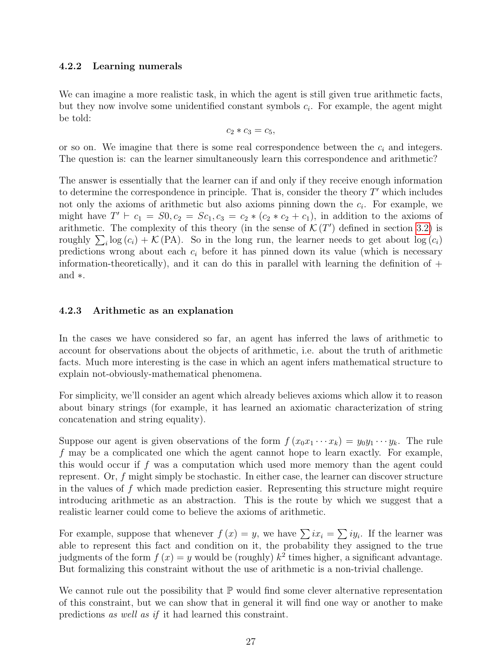#### <span id="page-26-0"></span>4.2.2 Learning numerals

We can imagine a more realistic task, in which the agent is still given true arithmetic facts, but they now involve some unidentified constant symbols  $c_i$ . For example, the agent might be told:

$$
c_2 * c_3 = c_5,
$$

or so on. We imagine that there is some real correspondence between the  $c_i$  and integers. The question is: can the learner simultaneously learn this correspondence and arithmetic?

The answer is essentially that the learner can if and only if they receive enough information to determine the correspondence in principle. That is, consider the theory  $T'$  which includes not only the axioms of arithmetic but also axioms pinning down the  $c_i$ . For example, we might have  $T' \vdash c_1 = S0, c_2 = Sc_1, c_3 = c_2 * (c_2 * c_2 + c_1)$ , in addition to the axioms of arithmetic. The complexity of this theory (in the sense of  $\mathcal{K}(T')$  defined in section [3.2\)](#page-20-0) is roughly  $\sum_i \log(c_i) + \mathcal{K}(\text{PA})$ . So in the long run, the learner needs to get about  $\log(c_i)$ predictions wrong about each  $c_i$  before it has pinned down its value (which is necessary information-theoretically), and it can do this in parallel with learning the definition of  $+$ and ∗.

#### <span id="page-26-1"></span>4.2.3 Arithmetic as an explanation

In the cases we have considered so far, an agent has inferred the laws of arithmetic to account for observations about the objects of arithmetic, i.e. about the truth of arithmetic facts. Much more interesting is the case in which an agent infers mathematical structure to explain not-obviously-mathematical phenomena.

For simplicity, we'll consider an agent which already believes axioms which allow it to reason about binary strings (for example, it has learned an axiomatic characterization of string concatenation and string equality).

Suppose our agent is given observations of the form  $f(x_0x_1 \cdots x_k) = y_0y_1 \cdots y_k$ . The rule f may be a complicated one which the agent cannot hope to learn exactly. For example, this would occur if f was a computation which used more memory than the agent could represent. Or, f might simply be stochastic. In either case, the learner can discover structure in the values of  $f$  which made prediction easier. Representing this structure might require introducing arithmetic as an abstraction. This is the route by which we suggest that a realistic learner could come to believe the axioms of arithmetic.

For example, suppose that whenever  $f(x) = y$ , we have  $\sum ix_i = \sum iy_i$ . If the learner was able to represent this fact and condition on it, the probability they assigned to the true judgments of the form  $f(x) = y$  would be (roughly)  $k^2$  times higher, a significant advantage. But formalizing this constraint without the use of arithmetic is a non-trivial challenge.

We cannot rule out the possibility that  $\mathbb P$  would find some clever alternative representation of this constraint, but we can show that in general it will find one way or another to make predictions as well as if it had learned this constraint.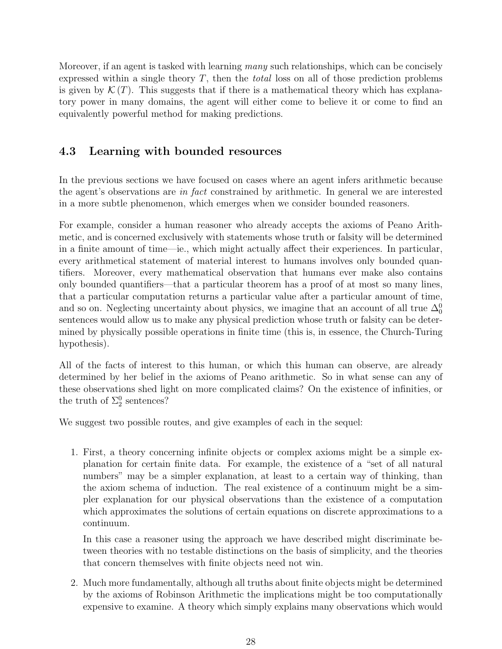Moreover, if an agent is tasked with learning many such relationships, which can be concisely expressed within a single theory T, then the total loss on all of those prediction problems is given by  $\mathcal{K}(T)$ . This suggests that if there is a mathematical theory which has explanatory power in many domains, the agent will either come to believe it or come to find an equivalently powerful method for making predictions.

## <span id="page-27-0"></span>4.3 Learning with bounded resources

In the previous sections we have focused on cases where an agent infers arithmetic because the agent's observations are in fact constrained by arithmetic. In general we are interested in a more subtle phenomenon, which emerges when we consider bounded reasoners.

For example, consider a human reasoner who already accepts the axioms of Peano Arithmetic, and is concerned exclusively with statements whose truth or falsity will be determined in a finite amount of time—ie., which might actually affect their experiences. In particular, every arithmetical statement of material interest to humans involves only bounded quantifiers. Moreover, every mathematical observation that humans ever make also contains only bounded quantifiers—that a particular theorem has a proof of at most so many lines, that a particular computation returns a particular value after a particular amount of time, and so on. Neglecting uncertainty about physics, we imagine that an account of all true  $\Delta_0^0$ sentences would allow us to make any physical prediction whose truth or falsity can be determined by physically possible operations in finite time (this is, in essence, the Church-Turing hypothesis).

All of the facts of interest to this human, or which this human can observe, are already determined by her belief in the axioms of Peano arithmetic. So in what sense can any of these observations shed light on more complicated claims? On the existence of infinities, or the truth of  $\Sigma_2^0$  sentences?

We suggest two possible routes, and give examples of each in the sequel:

1. First, a theory concerning infinite objects or complex axioms might be a simple explanation for certain finite data. For example, the existence of a "set of all natural numbers" may be a simpler explanation, at least to a certain way of thinking, than the axiom schema of induction. The real existence of a continuum might be a simpler explanation for our physical observations than the existence of a computation which approximates the solutions of certain equations on discrete approximations to a continuum.

In this case a reasoner using the approach we have described might discriminate between theories with no testable distinctions on the basis of simplicity, and the theories that concern themselves with finite objects need not win.

2. Much more fundamentally, although all truths about finite objects might be determined by the axioms of Robinson Arithmetic the implications might be too computationally expensive to examine. A theory which simply explains many observations which would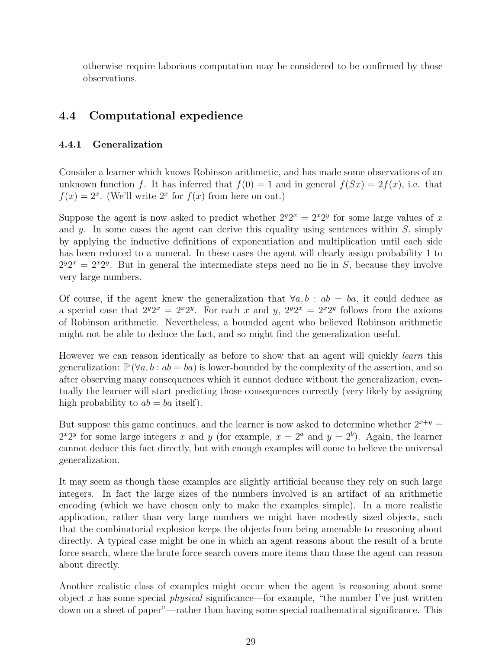otherwise require laborious computation may be considered to be confirmed by those observations.

## <span id="page-28-0"></span>4.4 Computational expedience

### <span id="page-28-1"></span>4.4.1 Generalization

Consider a learner which knows Robinson arithmetic, and has made some observations of an unknown function f. It has inferred that  $f(0) = 1$  and in general  $f(Sx) = 2f(x)$ , i.e. that  $f(x) = 2^x$ . (We'll write  $2^x$  for  $f(x)$  from here on out.)

Suppose the agent is now asked to predict whether  $2^y 2^x = 2^x 2^y$  for some large values of x and y. In some cases the agent can derive this equality using sentences within  $S$ , simply by applying the inductive definitions of exponentiation and multiplication until each side has been reduced to a numeral. In these cases the agent will clearly assign probability 1 to  $2^{y}2^{x} = 2^{x}2^{y}$ . But in general the intermediate steps need no lie in S, because they involve very large numbers.

Of course, if the agent knew the generalization that  $\forall a, b : ab = ba$ , it could deduce as a special case that  $2^y 2^x = 2^x 2^y$ . For each x and y,  $2^y 2^x = 2^x 2^y$  follows from the axioms of Robinson arithmetic. Nevertheless, a bounded agent who believed Robinson arithmetic might not be able to deduce the fact, and so might find the generalization useful.

However we can reason identically as before to show that an agent will quickly *learn* this generalization:  $\mathbb{P}(\forall a, b : ab = ba)$  is lower-bounded by the complexity of the assertion, and so after observing many consequences which it cannot deduce without the generalization, eventually the learner will start predicting those consequences correctly (very likely by assigning high probability to  $ab = ba$  itself).

But suppose this game continues, and the learner is now asked to determine whether  $2^{x+y}$  $2^{x}2^{y}$  for some large integers x and y (for example,  $x = 2^{a}$  and  $y = 2^{b}$ ). Again, the learner cannot deduce this fact directly, but with enough examples will come to believe the universal generalization.

It may seem as though these examples are slightly artificial because they rely on such large integers. In fact the large sizes of the numbers involved is an artifact of an arithmetic encoding (which we have chosen only to make the examples simple). In a more realistic application, rather than very large numbers we might have modestly sized objects, such that the combinatorial explosion keeps the objects from being amenable to reasoning about directly. A typical case might be one in which an agent reasons about the result of a brute force search, where the brute force search covers more items than those the agent can reason about directly.

Another realistic class of examples might occur when the agent is reasoning about some object x has some special *physical* significance—for example, "the number I've just written down on a sheet of paper"—rather than having some special mathematical significance. This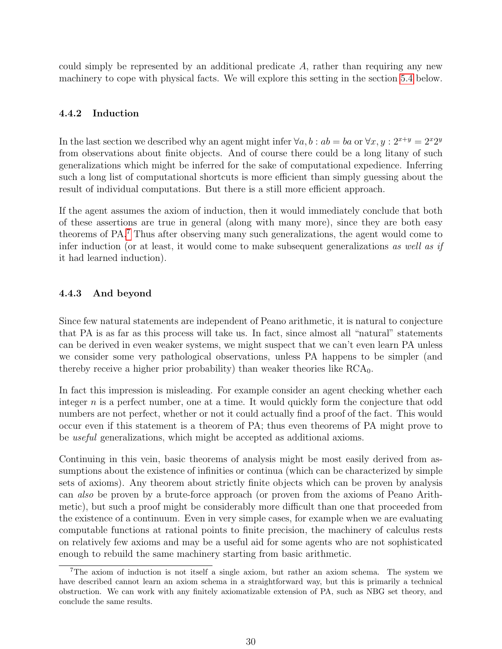could simply be represented by an additional predicate  $A$ , rather than requiring any new machinery to cope with physical facts. We will explore this setting in the section [5.4](#page-37-0) below.

#### <span id="page-29-0"></span>4.4.2 Induction

In the last section we described why an agent might infer  $\forall a, b : ab = ba$  or  $\forall x, y : 2^{x+y} = 2^x 2^y$ from observations about finite objects. And of course there could be a long litany of such generalizations which might be inferred for the sake of computational expedience. Inferring such a long list of computational shortcuts is more efficient than simply guessing about the result of individual computations. But there is a still more efficient approach.

If the agent assumes the axiom of induction, then it would immediately conclude that both of these assertions are true in general (along with many more), since they are both easy theorems of PA.[7](#page-29-2) Thus after observing many such generalizations, the agent would come to infer induction (or at least, it would come to make subsequent generalizations as well as if it had learned induction).

#### <span id="page-29-1"></span>4.4.3 And beyond

Since few natural statements are independent of Peano arithmetic, it is natural to conjecture that PA is as far as this process will take us. In fact, since almost all "natural" statements can be derived in even weaker systems, we might suspect that we can't even learn PA unless we consider some very pathological observations, unless PA happens to be simpler (and thereby receive a higher prior probability) than weaker theories like  $RCA_0$ .

In fact this impression is misleading. For example consider an agent checking whether each integer  $n$  is a perfect number, one at a time. It would quickly form the conjecture that odd numbers are not perfect, whether or not it could actually find a proof of the fact. This would occur even if this statement is a theorem of PA; thus even theorems of PA might prove to be useful generalizations, which might be accepted as additional axioms.

Continuing in this vein, basic theorems of analysis might be most easily derived from assumptions about the existence of infinities or continua (which can be characterized by simple sets of axioms). Any theorem about strictly finite objects which can be proven by analysis can also be proven by a brute-force approach (or proven from the axioms of Peano Arithmetic), but such a proof might be considerably more difficult than one that proceeded from the existence of a continuum. Even in very simple cases, for example when we are evaluating computable functions at rational points to finite precision, the machinery of calculus rests on relatively few axioms and may be a useful aid for some agents who are not sophisticated enough to rebuild the same machinery starting from basic arithmetic.

<span id="page-29-2"></span><sup>7</sup>The axiom of induction is not itself a single axiom, but rather an axiom schema. The system we have described cannot learn an axiom schema in a straightforward way, but this is primarily a technical obstruction. We can work with any finitely axiomatizable extension of PA, such as NBG set theory, and conclude the same results.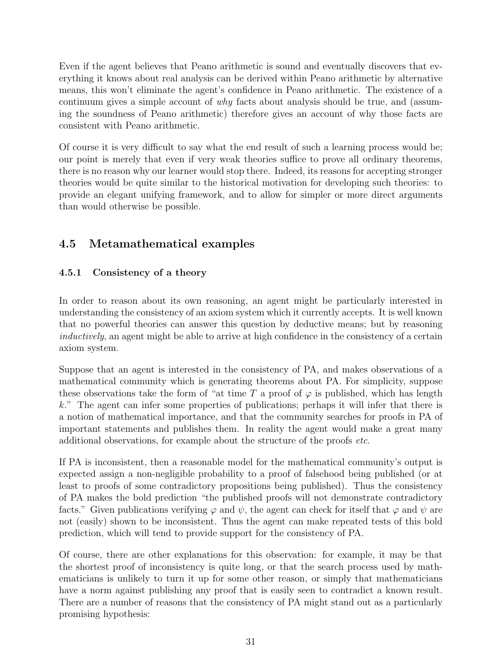Even if the agent believes that Peano arithmetic is sound and eventually discovers that everything it knows about real analysis can be derived within Peano arithmetic by alternative means, this won't eliminate the agent's confidence in Peano arithmetic. The existence of a continuum gives a simple account of *why* facts about analysis should be true, and (assuming the soundness of Peano arithmetic) therefore gives an account of why those facts are consistent with Peano arithmetic.

Of course it is very difficult to say what the end result of such a learning process would be; our point is merely that even if very weak theories suffice to prove all ordinary theorems, there is no reason why our learner would stop there. Indeed, its reasons for accepting stronger theories would be quite similar to the historical motivation for developing such theories: to provide an elegant unifying framework, and to allow for simpler or more direct arguments than would otherwise be possible.

## <span id="page-30-0"></span>4.5 Metamathematical examples

## <span id="page-30-1"></span>4.5.1 Consistency of a theory

In order to reason about its own reasoning, an agent might be particularly interested in understanding the consistency of an axiom system which it currently accepts. It is well known that no powerful theories can answer this question by deductive means; but by reasoning inductively, an agent might be able to arrive at high confidence in the consistency of a certain axiom system.

Suppose that an agent is interested in the consistency of PA, and makes observations of a mathematical community which is generating theorems about PA. For simplicity, suppose these observations take the form of "at time T a proof of  $\varphi$  is published, which has length k." The agent can infer some properties of publications; perhaps it will infer that there is a notion of mathematical importance, and that the community searches for proofs in PA of important statements and publishes them. In reality the agent would make a great many additional observations, for example about the structure of the proofs etc.

If PA is inconsistent, then a reasonable model for the mathematical community's output is expected assign a non-negligible probability to a proof of falsehood being published (or at least to proofs of some contradictory propositions being published). Thus the consistency of PA makes the bold prediction "the published proofs will not demonstrate contradictory facts." Given publications verifying  $\varphi$  and  $\psi$ , the agent can check for itself that  $\varphi$  and  $\psi$  are not (easily) shown to be inconsistent. Thus the agent can make repeated tests of this bold prediction, which will tend to provide support for the consistency of PA.

Of course, there are other explanations for this observation: for example, it may be that the shortest proof of inconsistency is quite long, or that the search process used by mathematicians is unlikely to turn it up for some other reason, or simply that mathematicians have a norm against publishing any proof that is easily seen to contradict a known result. There are a number of reasons that the consistency of PA might stand out as a particularly promising hypothesis: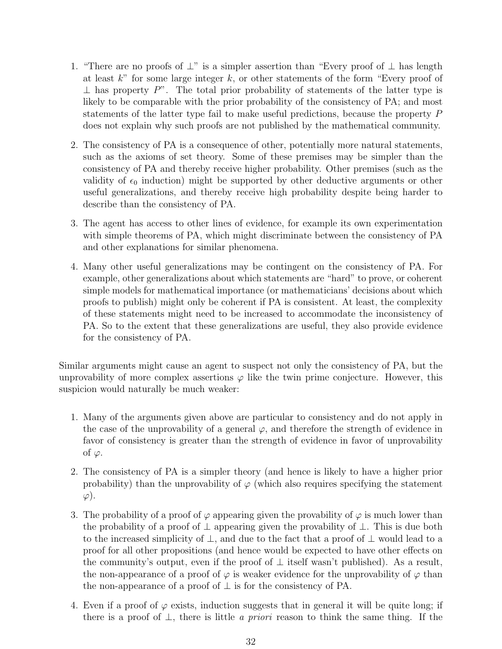- 1. "There are no proofs of  $\perp$ " is a simpler assertion than "Every proof of  $\perp$  has length at least  $k^{\prime\prime}$  for some large integer k, or other statements of the form "Every proof of  $\perp$  has property P". The total prior probability of statements of the latter type is likely to be comparable with the prior probability of the consistency of PA; and most statements of the latter type fail to make useful predictions, because the property P does not explain why such proofs are not published by the mathematical community.
- 2. The consistency of PA is a consequence of other, potentially more natural statements, such as the axioms of set theory. Some of these premises may be simpler than the consistency of PA and thereby receive higher probability. Other premises (such as the validity of  $\epsilon_0$  induction) might be supported by other deductive arguments or other useful generalizations, and thereby receive high probability despite being harder to describe than the consistency of PA.
- 3. The agent has access to other lines of evidence, for example its own experimentation with simple theorems of PA, which might discriminate between the consistency of PA and other explanations for similar phenomena.
- 4. Many other useful generalizations may be contingent on the consistency of PA. For example, other generalizations about which statements are "hard" to prove, or coherent simple models for mathematical importance (or mathematicians' decisions about which proofs to publish) might only be coherent if PA is consistent. At least, the complexity of these statements might need to be increased to accommodate the inconsistency of PA. So to the extent that these generalizations are useful, they also provide evidence for the consistency of PA.

Similar arguments might cause an agent to suspect not only the consistency of PA, but the unprovability of more complex assertions  $\varphi$  like the twin prime conjecture. However, this suspicion would naturally be much weaker:

- 1. Many of the arguments given above are particular to consistency and do not apply in the case of the unprovability of a general  $\varphi$ , and therefore the strength of evidence in favor of consistency is greater than the strength of evidence in favor of unprovability of  $\varphi$ .
- 2. The consistency of PA is a simpler theory (and hence is likely to have a higher prior probability) than the unprovability of  $\varphi$  (which also requires specifying the statement  $\varphi$ ).
- 3. The probability of a proof of  $\varphi$  appearing given the provability of  $\varphi$  is much lower than the probability of a proof of  $\perp$  appearing given the provability of  $\perp$ . This is due both to the increased simplicity of  $\perp$ , and due to the fact that a proof of  $\perp$  would lead to a proof for all other propositions (and hence would be expected to have other effects on the community's output, even if the proof of  $\perp$  itself wasn't published). As a result, the non-appearance of a proof of  $\varphi$  is weaker evidence for the unprovability of  $\varphi$  than the non-appearance of a proof of  $\perp$  is for the consistency of PA.
- 4. Even if a proof of  $\varphi$  exists, induction suggests that in general it will be quite long; if there is a proof of  $\perp$ , there is little *a priori* reason to think the same thing. If the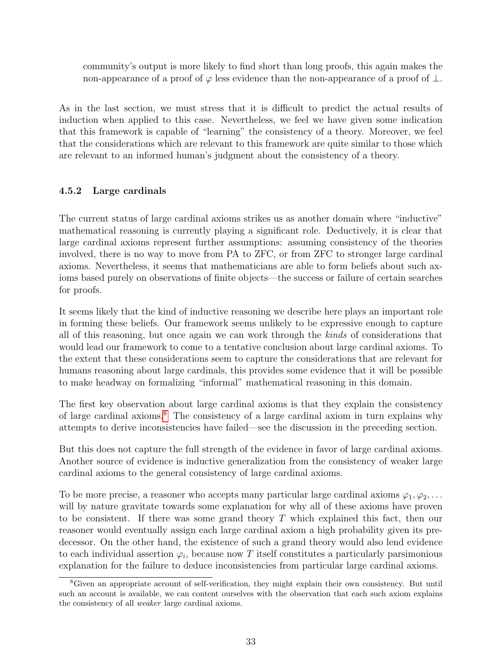community's output is more likely to find short than long proofs, this again makes the non-appearance of a proof of  $\varphi$  less evidence than the non-appearance of a proof of  $\bot$ .

As in the last section, we must stress that it is difficult to predict the actual results of induction when applied to this case. Nevertheless, we feel we have given some indication that this framework is capable of "learning" the consistency of a theory. Moreover, we feel that the considerations which are relevant to this framework are quite similar to those which are relevant to an informed human's judgment about the consistency of a theory.

## <span id="page-32-0"></span>4.5.2 Large cardinals

The current status of large cardinal axioms strikes us as another domain where "inductive" mathematical reasoning is currently playing a significant role. Deductively, it is clear that large cardinal axioms represent further assumptions: assuming consistency of the theories involved, there is no way to move from PA to ZFC, or from ZFC to stronger large cardinal axioms. Nevertheless, it seems that mathematicians are able to form beliefs about such axioms based purely on observations of finite objects—the success or failure of certain searches for proofs.

It seems likely that the kind of inductive reasoning we describe here plays an important role in forming these beliefs. Our framework seems unlikely to be expressive enough to capture all of this reasoning, but once again we can work through the kinds of considerations that would lead our framework to come to a tentative conclusion about large cardinal axioms. To the extent that these considerations seem to capture the considerations that are relevant for humans reasoning about large cardinals, this provides some evidence that it will be possible to make headway on formalizing "informal" mathematical reasoning in this domain.

The first key observation about large cardinal axioms is that they explain the consistency of large cardinal axioms.[8](#page-32-1) The consistency of a large cardinal axiom in turn explains why attempts to derive inconsistencies have failed—see the discussion in the preceding section.

But this does not capture the full strength of the evidence in favor of large cardinal axioms. Another source of evidence is inductive generalization from the consistency of weaker large cardinal axioms to the general consistency of large cardinal axioms.

To be more precise, a reasoner who accepts many particular large cardinal axioms  $\varphi_1, \varphi_2, \ldots$ will by nature gravitate towards some explanation for why all of these axioms have proven to be consistent. If there was some grand theory  $T$  which explained this fact, then our reasoner would eventually assign each large cardinal axiom a high probability given its predecessor. On the other hand, the existence of such a grand theory would also lend evidence to each individual assertion  $\varphi_i$ , because now T itself constitutes a particularly parsimonious explanation for the failure to deduce inconsistencies from particular large cardinal axioms.

<span id="page-32-1"></span><sup>8</sup>Given an appropriate account of self-verification, they might explain their own consistency. But until such an account is available, we can content ourselves with the observation that each such axiom explains the consistency of all weaker large cardinal axioms.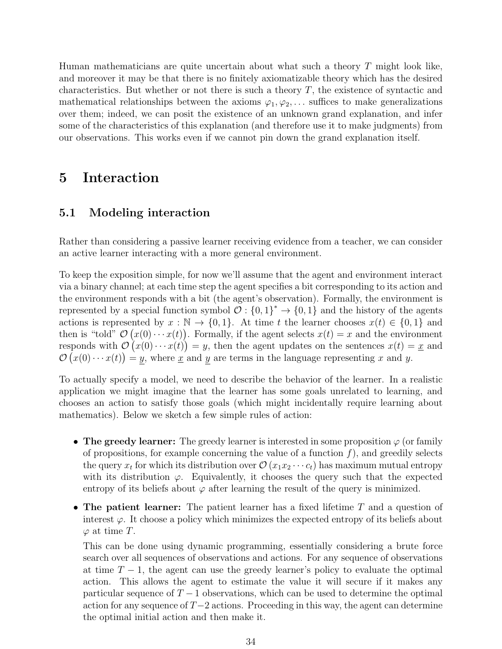Human mathematicians are quite uncertain about what such a theory  $T$  might look like, and moreover it may be that there is no finitely axiomatizable theory which has the desired characteristics. But whether or not there is such a theory  $T$ , the existence of syntactic and mathematical relationships between the axioms  $\varphi_1, \varphi_2, \ldots$  suffices to make generalizations over them; indeed, we can posit the existence of an unknown grand explanation, and infer some of the characteristics of this explanation (and therefore use it to make judgments) from our observations. This works even if we cannot pin down the grand explanation itself.

## <span id="page-33-0"></span>5 Interaction

### <span id="page-33-1"></span>5.1 Modeling interaction

Rather than considering a passive learner receiving evidence from a teacher, we can consider an active learner interacting with a more general environment.

To keep the exposition simple, for now we'll assume that the agent and environment interact via a binary channel; at each time step the agent specifies a bit corresponding to its action and the environment responds with a bit (the agent's observation). Formally, the environment is represented by a special function symbol  $\mathcal{O}: \{0,1\}^* \to \{0,1\}$  and the history of the agents actions is represented by  $x : \mathbb{N} \to \{0,1\}$ . At time t the learner chooses  $x(t) \in \{0,1\}$  and then is "told"  $\mathcal{O}(x(0) \cdots x(t))$ . Formally, if the agent selects  $x(t) = x$  and the environment responds with  $\mathcal{O}(x(0)\cdots x(t)) = y$ , then the agent updates on the sentences  $x(t) = x$  and  $\mathcal{O}(x(0)\cdots x(t)) = y$ , where x and y are terms in the language representing x and y.

To actually specify a model, we need to describe the behavior of the learner. In a realistic application we might imagine that the learner has some goals unrelated to learning, and chooses an action to satisfy those goals (which might incidentally require learning about mathematics). Below we sketch a few simple rules of action:

- The greedy learner: The greedy learner is interested in some proposition  $\varphi$  (or family of propositions, for example concerning the value of a function  $f$ ), and greedily selects the query  $x_t$  for which its distribution over  $\mathcal{O}(x_1x_2\cdots c_t)$  has maximum mutual entropy with its distribution  $\varphi$ . Equivalently, it chooses the query such that the expected entropy of its beliefs about  $\varphi$  after learning the result of the query is minimized.
- The patient learner: The patient learner has a fixed lifetime  $T$  and a question of interest  $\varphi$ . It choose a policy which minimizes the expected entropy of its beliefs about  $\varphi$  at time T.

This can be done using dynamic programming, essentially considering a brute force search over all sequences of observations and actions. For any sequence of observations at time  $T-1$ , the agent can use the greedy learner's policy to evaluate the optimal action. This allows the agent to estimate the value it will secure if it makes any particular sequence of  $T - 1$  observations, which can be used to determine the optimal action for any sequence of  $T-2$  actions. Proceeding in this way, the agent can determine the optimal initial action and then make it.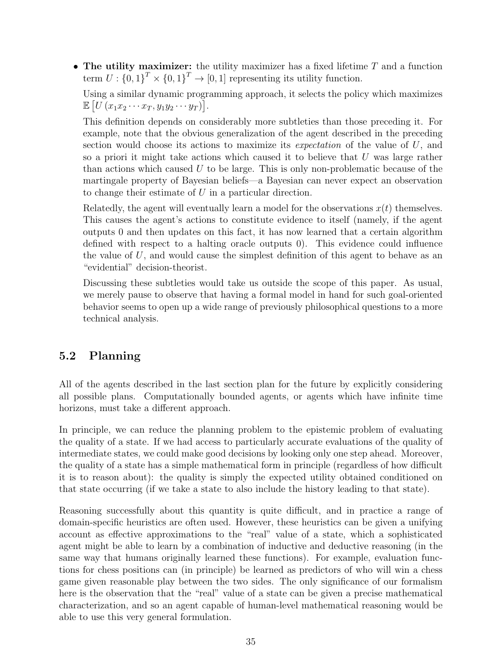• The utility maximizer: the utility maximizer has a fixed lifetime  $T$  and a function term  $U: \{0,1\}^T \times \{0,1\}^T \rightarrow [0,1]$  representing its utility function.

Using a similar dynamic programming approach, it selects the policy which maximizes  $\mathbb{E}\left[U\left(x_1x_2\cdots x_T,y_1y_2\cdots y_T\right)\right].$ 

This definition depends on considerably more subtleties than those preceding it. For example, note that the obvious generalization of the agent described in the preceding section would choose its actions to maximize its *expectation* of the value of  $U$ , and so a priori it might take actions which caused it to believe that  $U$  was large rather than actions which caused  $U$  to be large. This is only non-problematic because of the martingale property of Bayesian beliefs—a Bayesian can never expect an observation to change their estimate of U in a particular direction.

Relatedly, the agent will eventually learn a model for the observations  $x(t)$  themselves. This causes the agent's actions to constitute evidence to itself (namely, if the agent outputs 0 and then updates on this fact, it has now learned that a certain algorithm defined with respect to a halting oracle outputs 0). This evidence could influence the value of  $U$ , and would cause the simplest definition of this agent to behave as an "evidential" decision-theorist.

Discussing these subtleties would take us outside the scope of this paper. As usual, we merely pause to observe that having a formal model in hand for such goal-oriented behavior seems to open up a wide range of previously philosophical questions to a more technical analysis.

## <span id="page-34-0"></span>5.2 Planning

All of the agents described in the last section plan for the future by explicitly considering all possible plans. Computationally bounded agents, or agents which have infinite time horizons, must take a different approach.

In principle, we can reduce the planning problem to the epistemic problem of evaluating the quality of a state. If we had access to particularly accurate evaluations of the quality of intermediate states, we could make good decisions by looking only one step ahead. Moreover, the quality of a state has a simple mathematical form in principle (regardless of how difficult it is to reason about): the quality is simply the expected utility obtained conditioned on that state occurring (if we take a state to also include the history leading to that state).

Reasoning successfully about this quantity is quite difficult, and in practice a range of domain-specific heuristics are often used. However, these heuristics can be given a unifying account as effective approximations to the "real" value of a state, which a sophisticated agent might be able to learn by a combination of inductive and deductive reasoning (in the same way that humans originally learned these functions). For example, evaluation functions for chess positions can (in principle) be learned as predictors of who will win a chess game given reasonable play between the two sides. The only significance of our formalism here is the observation that the "real" value of a state can be given a precise mathematical characterization, and so an agent capable of human-level mathematical reasoning would be able to use this very general formulation.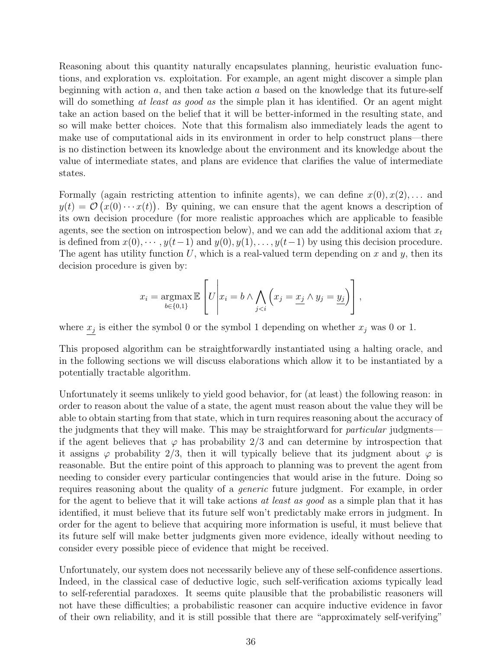Reasoning about this quantity naturally encapsulates planning, heuristic evaluation functions, and exploration vs. exploitation. For example, an agent might discover a simple plan beginning with action  $a$ , and then take action  $a$  based on the knowledge that its future-self will do something at least as good as the simple plan it has identified. Or an agent might take an action based on the belief that it will be better-informed in the resulting state, and so will make better choices. Note that this formalism also immediately leads the agent to make use of computational aids in its environment in order to help construct plans—there is no distinction between its knowledge about the environment and its knowledge about the value of intermediate states, and plans are evidence that clarifies the value of intermediate states.

Formally (again restricting attention to infinite agents), we can define  $x(0), x(2), \ldots$  and  $y(t) = \mathcal{O}(x(0) \cdots x(t))$ . By quining, we can ensure that the agent knows a description of its own decision procedure (for more realistic approaches which are applicable to feasible agents, see the section on introspection below), and we can add the additional axiom that  $x_t$ is defined from  $x(0), \dots, y(t-1)$  and  $y(0), y(1), \dots, y(t-1)$  by using this decision procedure. The agent has utility function U, which is a real-valued term depending on x and y, then its decision procedure is given by:

$$
x_i = \operatorname*{argmax}_{b \in \{0,1\}} \mathbb{E}\left[U\middle| x_i = b \land \bigwedge_{j < i} \left(x_j = \underline{x_j} \land y_j = \underline{y_j}\right)\right],
$$

where  $x_j$  is either the symbol 0 or the symbol 1 depending on whether  $x_j$  was 0 or 1.

This proposed algorithm can be straightforwardly instantiated using a halting oracle, and in the following sections we will discuss elaborations which allow it to be instantiated by a potentially tractable algorithm.

Unfortunately it seems unlikely to yield good behavior, for (at least) the following reason: in order to reason about the value of a state, the agent must reason about the value they will be able to obtain starting from that state, which in turn requires reasoning about the accuracy of the judgments that they will make. This may be straightforward for *particular* judgments if the agent believes that  $\varphi$  has probability 2/3 and can determine by introspection that it assigns  $\varphi$  probability 2/3, then it will typically believe that its judgment about  $\varphi$  is reasonable. But the entire point of this approach to planning was to prevent the agent from needing to consider every particular contingencies that would arise in the future. Doing so requires reasoning about the quality of a generic future judgment. For example, in order for the agent to believe that it will take actions at least as good as a simple plan that it has identified, it must believe that its future self won't predictably make errors in judgment. In order for the agent to believe that acquiring more information is useful, it must believe that its future self will make better judgments given more evidence, ideally without needing to consider every possible piece of evidence that might be received.

Unfortunately, our system does not necessarily believe any of these self-confidence assertions. Indeed, in the classical case of deductive logic, such self-verification axioms typically lead to self-referential paradoxes. It seems quite plausible that the probabilistic reasoners will not have these difficulties; a probabilistic reasoner can acquire inductive evidence in favor of their own reliability, and it is still possible that there are "approximately self-verifying"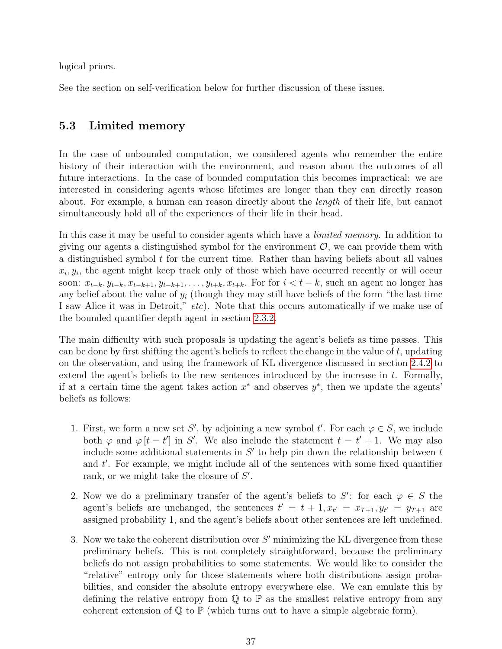logical priors.

See the section on self-verification below for further discussion of these issues.

## <span id="page-36-0"></span>5.3 Limited memory

In the case of unbounded computation, we considered agents who remember the entire history of their interaction with the environment, and reason about the outcomes of all future interactions. In the case of bounded computation this becomes impractical: we are interested in considering agents whose lifetimes are longer than they can directly reason about. For example, a human can reason directly about the length of their life, but cannot simultaneously hold all of the experiences of their life in their head.

In this case it may be useful to consider agents which have a *limited memory*. In addition to giving our agents a distinguished symbol for the environment  $\mathcal{O}$ , we can provide them with a distinguished symbol  $t$  for the current time. Rather than having beliefs about all values  $x_i, y_i$ , the agent might keep track only of those which have occurred recently or will occur soon:  $x_{t-k}, y_{t-k}, x_{t-k+1}, y_{t-k+1}, \ldots, y_{t+k}, x_{t+k}$ . For for  $i < t-k$ , such an agent no longer has any belief about the value of  $y_i$  (though they may still have beliefs of the form "the last time" I saw Alice it was in Detroit," etc). Note that this occurs automatically if we make use of the bounded quantifier depth agent in section [2.3.2.](#page-13-1)

The main difficulty with such proposals is updating the agent's beliefs as time passes. This can be done by first shifting the agent's beliefs to reflect the change in the value of t, updating on the observation, and using the framework of KL divergence discussed in section [2.4.2](#page-16-0) to extend the agent's beliefs to the new sentences introduced by the increase in t. Formally, if at a certain time the agent takes action  $x^*$  and observes  $y^*$ , then we update the agents' beliefs as follows:

- 1. First, we form a new set S', by adjoining a new symbol t'. For each  $\varphi \in S$ , we include both  $\varphi$  and  $\varphi$  [t = t'] in S'. We also include the statement  $t = t' + 1$ . We may also include some additional statements in  $S'$  to help pin down the relationship between t and  $t'$ . For example, we might include all of the sentences with some fixed quantifier rank, or we might take the closure of  $S'$ .
- 2. Now we do a preliminary transfer of the agent's beliefs to S': for each  $\varphi \in S$  the agent's beliefs are unchanged, the sentences  $t' = t + 1, x_{t'} = x_{T+1}, y_{t'} = y_{T+1}$  are assigned probability 1, and the agent's beliefs about other sentences are left undefined.
- 3. Now we take the coherent distribution over  $S'$  minimizing the KL divergence from these preliminary beliefs. This is not completely straightforward, because the preliminary beliefs do not assign probabilities to some statements. We would like to consider the "relative" entropy only for those statements where both distributions assign probabilities, and consider the absolute entropy everywhere else. We can emulate this by defining the relative entropy from  $\mathbb Q$  to  $\mathbb P$  as the smallest relative entropy from any coherent extension of  $\mathbb Q$  to  $\mathbb P$  (which turns out to have a simple algebraic form).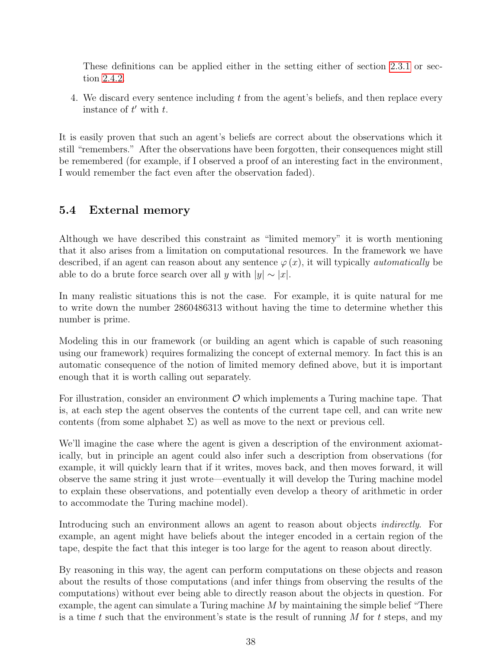These definitions can be applied either in the setting either of section [2.3.1](#page-13-0) or section [2.4.2.](#page-16-0)

4. We discard every sentence including t from the agent's beliefs, and then replace every instance of  $t'$  with  $t$ .

It is easily proven that such an agent's beliefs are correct about the observations which it still "remembers." After the observations have been forgotten, their consequences might still be remembered (for example, if I observed a proof of an interesting fact in the environment, I would remember the fact even after the observation faded).

## <span id="page-37-0"></span>5.4 External memory

Although we have described this constraint as "limited memory" it is worth mentioning that it also arises from a limitation on computational resources. In the framework we have described, if an agent can reason about any sentence  $\varphi(x)$ , it will typically *automatically* be able to do a brute force search over all y with  $|y| \sim |x|$ .

In many realistic situations this is not the case. For example, it is quite natural for me to write down the number 2860486313 without having the time to determine whether this number is prime.

Modeling this in our framework (or building an agent which is capable of such reasoning using our framework) requires formalizing the concept of external memory. In fact this is an automatic consequence of the notion of limited memory defined above, but it is important enough that it is worth calling out separately.

For illustration, consider an environment  $\mathcal O$  which implements a Turing machine tape. That is, at each step the agent observes the contents of the current tape cell, and can write new contents (from some alphabet  $\Sigma$ ) as well as move to the next or previous cell.

We'll imagine the case where the agent is given a description of the environment axiomatically, but in principle an agent could also infer such a description from observations (for example, it will quickly learn that if it writes, moves back, and then moves forward, it will observe the same string it just wrote—eventually it will develop the Turing machine model to explain these observations, and potentially even develop a theory of arithmetic in order to accommodate the Turing machine model).

Introducing such an environment allows an agent to reason about objects *indirectly*. For example, an agent might have beliefs about the integer encoded in a certain region of the tape, despite the fact that this integer is too large for the agent to reason about directly.

By reasoning in this way, the agent can perform computations on these objects and reason about the results of those computations (and infer things from observing the results of the computations) without ever being able to directly reason about the objects in question. For example, the agent can simulate a Turing machine M by maintaining the simple belief "There is a time t such that the environment's state is the result of running  $M$  for t steps, and my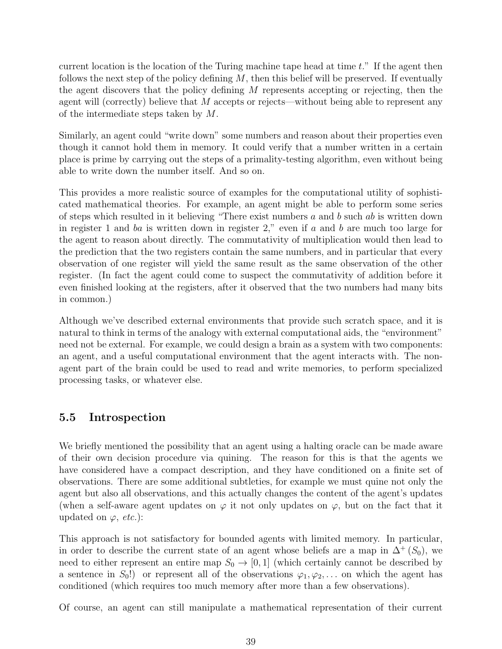current location is the location of the Turing machine tape head at time  $t$ ." If the agent then follows the next step of the policy defining  $M$ , then this belief will be preserved. If eventually the agent discovers that the policy defining M represents accepting or rejecting, then the agent will (correctly) believe that  $M$  accepts or rejects—without being able to represent any of the intermediate steps taken by M.

Similarly, an agent could "write down" some numbers and reason about their properties even though it cannot hold them in memory. It could verify that a number written in a certain place is prime by carrying out the steps of a primality-testing algorithm, even without being able to write down the number itself. And so on.

This provides a more realistic source of examples for the computational utility of sophisticated mathematical theories. For example, an agent might be able to perform some series of steps which resulted in it believing "There exist numbers a and b such ab is written down in register 1 and ba is written down in register 2," even if a and b are much too large for the agent to reason about directly. The commutativity of multiplication would then lead to the prediction that the two registers contain the same numbers, and in particular that every observation of one register will yield the same result as the same observation of the other register. (In fact the agent could come to suspect the commutativity of addition before it even finished looking at the registers, after it observed that the two numbers had many bits in common.)

Although we've described external environments that provide such scratch space, and it is natural to think in terms of the analogy with external computational aids, the "environment" need not be external. For example, we could design a brain as a system with two components: an agent, and a useful computational environment that the agent interacts with. The nonagent part of the brain could be used to read and write memories, to perform specialized processing tasks, or whatever else.

## <span id="page-38-0"></span>5.5 Introspection

We briefly mentioned the possibility that an agent using a halting oracle can be made aware of their own decision procedure via quining. The reason for this is that the agents we have considered have a compact description, and they have conditioned on a finite set of observations. There are some additional subtleties, for example we must quine not only the agent but also all observations, and this actually changes the content of the agent's updates (when a self-aware agent updates on  $\varphi$  it not only updates on  $\varphi$ , but on the fact that it updated on  $\varphi$ , *etc.*):

This approach is not satisfactory for bounded agents with limited memory. In particular, in order to describe the current state of an agent whose beliefs are a map in  $\Delta^+(S_0)$ , we need to either represent an entire map  $S_0 \to [0,1]$  (which certainly cannot be described by a sentence in  $S_0$ !) or represent all of the observations  $\varphi_1, \varphi_2, \ldots$  on which the agent has conditioned (which requires too much memory after more than a few observations).

Of course, an agent can still manipulate a mathematical representation of their current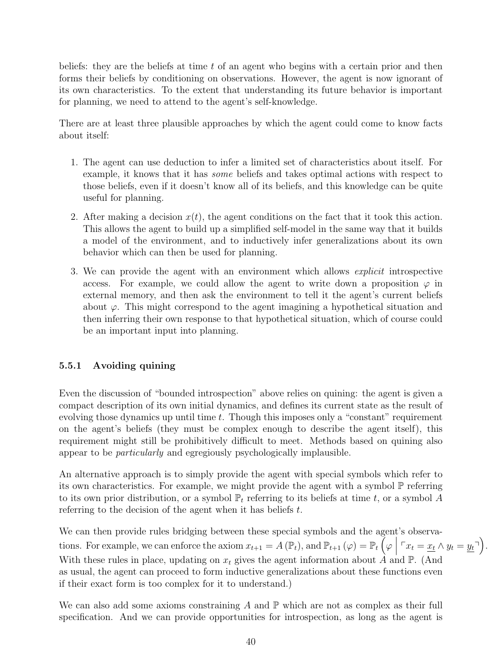beliefs: they are the beliefs at time  $t$  of an agent who begins with a certain prior and then forms their beliefs by conditioning on observations. However, the agent is now ignorant of its own characteristics. To the extent that understanding its future behavior is important for planning, we need to attend to the agent's self-knowledge.

There are at least three plausible approaches by which the agent could come to know facts about itself:

- 1. The agent can use deduction to infer a limited set of characteristics about itself. For example, it knows that it has some beliefs and takes optimal actions with respect to those beliefs, even if it doesn't know all of its beliefs, and this knowledge can be quite useful for planning.
- 2. After making a decision  $x(t)$ , the agent conditions on the fact that it took this action. This allows the agent to build up a simplified self-model in the same way that it builds a model of the environment, and to inductively infer generalizations about its own behavior which can then be used for planning.
- 3. We can provide the agent with an environment which allows explicit introspective access. For example, we could allow the agent to write down a proposition  $\varphi$  in external memory, and then ask the environment to tell it the agent's current beliefs about  $\varphi$ . This might correspond to the agent imagining a hypothetical situation and then inferring their own response to that hypothetical situation, which of course could be an important input into planning.

## <span id="page-39-0"></span>5.5.1 Avoiding quining

Even the discussion of "bounded introspection" above relies on quining: the agent is given a compact description of its own initial dynamics, and defines its current state as the result of evolving those dynamics up until time t. Though this imposes only a "constant" requirement on the agent's beliefs (they must be complex enough to describe the agent itself), this requirement might still be prohibitively difficult to meet. Methods based on quining also appear to be particularly and egregiously psychologically implausible.

An alternative approach is to simply provide the agent with special symbols which refer to its own characteristics. For example, we might provide the agent with a symbol  $\mathbb P$  referring to its own prior distribution, or a symbol  $\mathbb{P}_t$  referring to its beliefs at time t, or a symbol A referring to the decision of the agent when it has beliefs t.

We can then provide rules bridging between these special symbols and the agent's observations. For example, we can enforce the axiom  $x_{t+1} = A(\mathbb{P}_t)$ , and  $\mathbb{P}_{t+1}(\varphi) = \mathbb{P}_t\left(\varphi \mid \mathbf{W}_t\right)$  $\ulcorner x_t = x_t \wedge y_t = y_t \urcorner$ . With these rules in place, updating on  $x_t$  gives the agent information about  $\hat{A}$  and  $\mathbb{P}$ . (And as usual, the agent can proceed to form inductive generalizations about these functions even if their exact form is too complex for it to understand.)

We can also add some axioms constraining A and  $\mathbb P$  which are not as complex as their full specification. And we can provide opportunities for introspection, as long as the agent is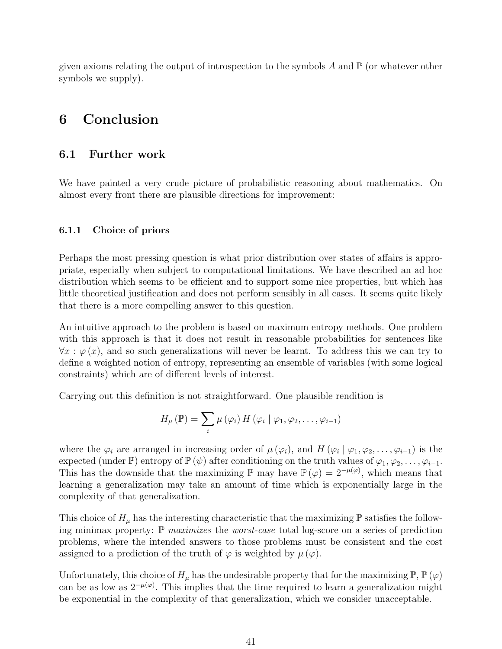given axioms relating the output of introspection to the symbols  $A$  and  $\mathbb P$  (or whatever other symbols we supply).

## <span id="page-40-0"></span>6 Conclusion

### <span id="page-40-1"></span>6.1 Further work

We have painted a very crude picture of probabilistic reasoning about mathematics. On almost every front there are plausible directions for improvement:

#### <span id="page-40-2"></span>6.1.1 Choice of priors

Perhaps the most pressing question is what prior distribution over states of affairs is appropriate, especially when subject to computational limitations. We have described an ad hoc distribution which seems to be efficient and to support some nice properties, but which has little theoretical justification and does not perform sensibly in all cases. It seems quite likely that there is a more compelling answer to this question.

An intuitive approach to the problem is based on maximum entropy methods. One problem with this approach is that it does not result in reasonable probabilities for sentences like  $\forall x : \varphi(x)$ , and so such generalizations will never be learnt. To address this we can try to define a weighted notion of entropy, representing an ensemble of variables (with some logical constraints) which are of different levels of interest.

Carrying out this definition is not straightforward. One plausible rendition is

$$
H_{\mu}(\mathbb{P}) = \sum_{i} \mu(\varphi_{i}) H(\varphi_{i} | \varphi_{1}, \varphi_{2}, \ldots, \varphi_{i-1})
$$

where the  $\varphi_i$  are arranged in increasing order of  $\mu(\varphi_i)$ , and  $H(\varphi_i | \varphi_1, \varphi_2, \ldots, \varphi_{i-1})$  is the expected (under  $\mathbb{P}$ ) entropy of  $\mathbb{P}(\psi)$  after conditioning on the truth values of  $\varphi_1, \varphi_2, \ldots, \varphi_{i-1}$ . This has the downside that the maximizing  $\mathbb P$  may have  $\mathbb P(\varphi) = 2^{-\mu(\varphi)}$ , which means that learning a generalization may take an amount of time which is exponentially large in the complexity of that generalization.

This choice of  $H_\mu$  has the interesting characteristic that the maximizing  $\mathbb P$  satisfies the following minimax property:  $\mathbb{P}$  maximizes the worst-case total log-score on a series of prediction problems, where the intended answers to those problems must be consistent and the cost assigned to a prediction of the truth of  $\varphi$  is weighted by  $\mu(\varphi)$ .

Unfortunately, this choice of  $H_\mu$  has the undesirable property that for the maximizing  $\mathbb{P}, \mathbb{P}(\varphi)$ can be as low as  $2^{-\mu(\varphi)}$ . This implies that the time required to learn a generalization might be exponential in the complexity of that generalization, which we consider unacceptable.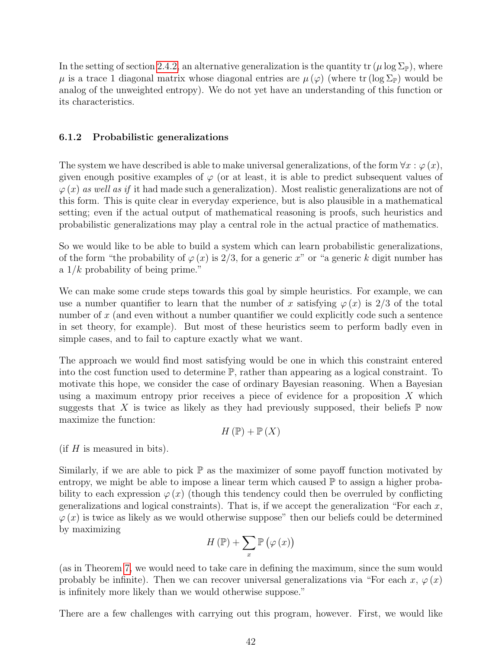In the setting of section [2.4.2,](#page-16-0) an alternative generalization is the quantity  $tr(\mu \log \Sigma_{\mathbb{P}})$ , where  $\mu$  is a trace 1 diagonal matrix whose diagonal entries are  $\mu(\varphi)$  (where tr (log  $\Sigma_{\mathbb{P}}$ ) would be analog of the unweighted entropy). We do not yet have an understanding of this function or its characteristics.

#### <span id="page-41-0"></span>6.1.2 Probabilistic generalizations

The system we have described is able to make universal generalizations, of the form  $\forall x : \varphi(x)$ , given enough positive examples of  $\varphi$  (or at least, it is able to predict subsequent values of  $\varphi(x)$  as well as if it had made such a generalization). Most realistic generalizations are not of this form. This is quite clear in everyday experience, but is also plausible in a mathematical setting; even if the actual output of mathematical reasoning is proofs, such heuristics and probabilistic generalizations may play a central role in the actual practice of mathematics.

So we would like to be able to build a system which can learn probabilistic generalizations, of the form "the probability of  $\varphi(x)$  is 2/3, for a generic x" or "a generic k digit number has a  $1/k$  probability of being prime."

We can make some crude steps towards this goal by simple heuristics. For example, we can use a number quantifier to learn that the number of x satisfying  $\varphi(x)$  is 2/3 of the total number of x (and even without a number quantifier we could explicitly code such a sentence in set theory, for example). But most of these heuristics seem to perform badly even in simple cases, and to fail to capture exactly what we want.

The approach we would find most satisfying would be one in which this constraint entered into the cost function used to determine P, rather than appearing as a logical constraint. To motivate this hope, we consider the case of ordinary Bayesian reasoning. When a Bayesian using a maximum entropy prior receives a piece of evidence for a proposition  $X$  which suggests that X is twice as likely as they had previously supposed, their beliefs  $\mathbb P$  now maximize the function:

$$
H(\mathbb{P}) + \mathbb{P}(X)
$$

 $(f$  is measured in bits).

Similarly, if we are able to pick  $\mathbb P$  as the maximizer of some payoff function motivated by entropy, we might be able to impose a linear term which caused  $\mathbb P$  to assign a higher probability to each expression  $\varphi(x)$  (though this tendency could then be overruled by conflicting generalizations and logical constraints). That is, if we accept the generalization "For each  $x$ ,  $\varphi(x)$  is twice as likely as we would otherwise suppose" then our beliefs could be determined by maximizing

$$
H(\mathbb{P}) + \sum_{x} \mathbb{P}(\varphi(x))
$$

(as in Theorem [7,](#page-22-1) we would need to take care in defining the maximum, since the sum would probably be infinite). Then we can recover universal generalizations via "For each  $x, \varphi(x)$ is infinitely more likely than we would otherwise suppose."

There are a few challenges with carrying out this program, however. First, we would like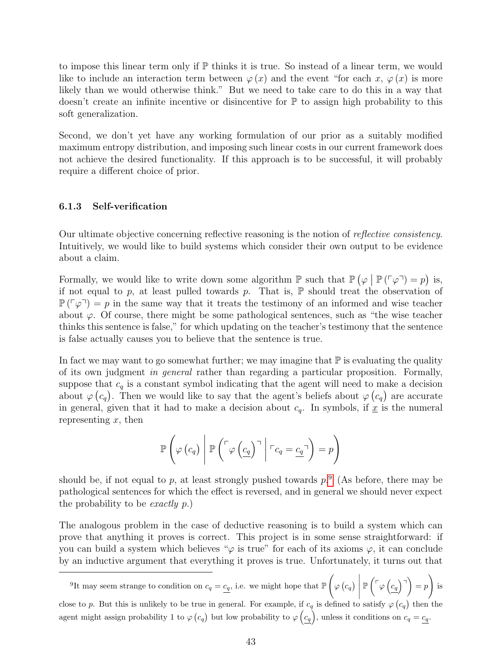to impose this linear term only if  $\mathbb P$  thinks it is true. So instead of a linear term, we would like to include an interaction term between  $\varphi(x)$  and the event "for each x,  $\varphi(x)$  is more likely than we would otherwise think." But we need to take care to do this in a way that doesn't create an infinite incentive or disincentive for  $\mathbb P$  to assign high probability to this soft generalization.

Second, we don't yet have any working formulation of our prior as a suitably modified maximum entropy distribution, and imposing such linear costs in our current framework does not achieve the desired functionality. If this approach is to be successful, it will probably require a different choice of prior.

#### <span id="page-42-0"></span>6.1.3 Self-verification

Our ultimate objective concerning reflective reasoning is the notion of reflective consistency. Intuitively, we would like to build systems which consider their own output to be evidence about a claim.

Formally, we would like to write down some algorithm  $\mathbb{P}$  such that  $\mathbb{P}(\varphi \mid \mathbb{P}(\ulcorner \varphi \urcorner) = p)$  is, if not equal to p, at least pulled towards p. That is,  $\mathbb P$  should treat the observation of  $\mathbb{P}(\lceil \varphi \rceil) = p$  in the same way that it treats the testimony of an informed and wise teacher about  $\varphi$ . Of course, there might be some pathological sentences, such as "the wise teacher thinks this sentence is false," for which updating on the teacher's testimony that the sentence is false actually causes you to believe that the sentence is true.

In fact we may want to go somewhat further; we may imagine that  $\mathbb P$  is evaluating the quality of its own judgment in general rather than regarding a particular proposition. Formally, suppose that  $c_q$  is a constant symbol indicating that the agent will need to make a decision about  $\varphi(c_q)$ . Then we would like to say that the agent's beliefs about  $\varphi(c_q)$  are accurate in general, given that it had to make a decision about  $c_q$ . In symbols, if  $\underline{x}$  is the numeral representing  $x$ , then

$$
\mathbb{P}\left(\varphi\left(c_q\right)\middle|\mathbb{P}\left(\ulcorner\varphi\left(\underline{c_q}\right)\urcorner\middle|\ulcorner c_q=\underline{c_q}\urcorner\right)=p\right)
$$

should be, if not equal to p, at least strongly pushed towards  $p$ .  $($ As before, there may be pathological sentences for which the effect is reversed, and in general we should never expect the probability to be exactly p.)

The analogous problem in the case of deductive reasoning is to build a system which can prove that anything it proves is correct. This project is in some sense straightforward: if you can build a system which believes " $\varphi$  is true" for each of its axioms  $\varphi$ , it can conclude by an inductive argument that everything it proves is true. Unfortunately, it turns out that

<span id="page-42-1"></span><sup>9</sup>It may seem strange to condition on  $c_q = c_q$ , i.e. we might hope that  $\mathbb{P}\left( \frac{1}{q} \right)$  $\varphi\left( c_{q}\right)$   $\mid$  $\mathbb{P}\left(\ulcorner\varphi\left(c_q\right) \urcorner\right) = p$  $\setminus$ is close to p. But this is unlikely to be true in general. For example, if  $c_q$  is defined to satisfy  $\varphi(c_q)$  then the agent might assign probability 1 to  $\varphi(c_q)$  but low probability to  $\varphi(c_q)$ , unless it conditions on  $c_q = c_q$ .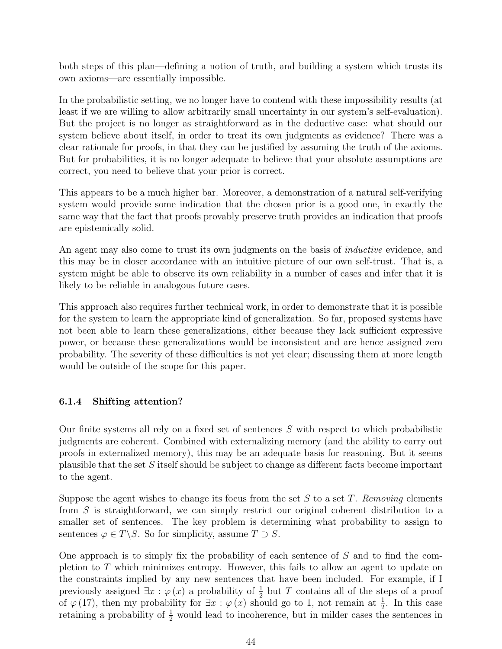both steps of this plan—defining a notion of truth, and building a system which trusts its own axioms—are essentially impossible.

In the probabilistic setting, we no longer have to contend with these impossibility results (at least if we are willing to allow arbitrarily small uncertainty in our system's self-evaluation). But the project is no longer as straightforward as in the deductive case: what should our system believe about itself, in order to treat its own judgments as evidence? There was a clear rationale for proofs, in that they can be justified by assuming the truth of the axioms. But for probabilities, it is no longer adequate to believe that your absolute assumptions are correct, you need to believe that your prior is correct.

This appears to be a much higher bar. Moreover, a demonstration of a natural self-verifying system would provide some indication that the chosen prior is a good one, in exactly the same way that the fact that proofs provably preserve truth provides an indication that proofs are epistemically solid.

An agent may also come to trust its own judgments on the basis of *inductive* evidence, and this may be in closer accordance with an intuitive picture of our own self-trust. That is, a system might be able to observe its own reliability in a number of cases and infer that it is likely to be reliable in analogous future cases.

This approach also requires further technical work, in order to demonstrate that it is possible for the system to learn the appropriate kind of generalization. So far, proposed systems have not been able to learn these generalizations, either because they lack sufficient expressive power, or because these generalizations would be inconsistent and are hence assigned zero probability. The severity of these difficulties is not yet clear; discussing them at more length would be outside of the scope for this paper.

#### <span id="page-43-0"></span>6.1.4 Shifting attention?

Our finite systems all rely on a fixed set of sentences S with respect to which probabilistic judgments are coherent. Combined with externalizing memory (and the ability to carry out proofs in externalized memory), this may be an adequate basis for reasoning. But it seems plausible that the set  $S$  itself should be subject to change as different facts become important to the agent.

Suppose the agent wishes to change its focus from the set S to a set T. Removing elements from S is straightforward, we can simply restrict our original coherent distribution to a smaller set of sentences. The key problem is determining what probability to assign to sentences  $\varphi \in T \backslash S$ . So for simplicity, assume  $T \supset S$ .

One approach is to simply fix the probability of each sentence of S and to find the completion to T which minimizes entropy. However, this fails to allow an agent to update on the constraints implied by any new sentences that have been included. For example, if I previously assigned  $\exists x : \varphi(x)$  a probability of  $\frac{1}{2}$  but T contains all of the steps of a proof of  $\varphi(17)$ , then my probability for  $\exists x : \varphi(x)$  should go to 1, not remain at  $\frac{1}{2}$ . In this case retaining a probability of  $\frac{1}{2}$  would lead to incoherence, but in milder cases the sentences in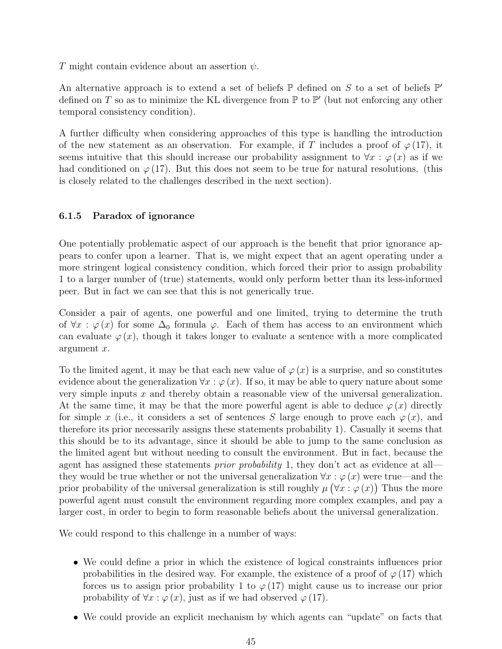T might contain evidence about an assertion  $\psi$ .

An alternative approach is to extend a set of beliefs  $\mathbb P$  defined on S to a set of beliefs  $\mathbb P'$ defined on T so as to minimize the KL divergence from  $\mathbb P$  to  $\mathbb P'$  (but not enforcing any other temporal consistency condition).

A further difficulty when considering approaches of this type is handling the introduction of the new statement as an observation. For example, if T includes a proof of  $\varphi(17)$ , it seems intuitive that this should increase our probability assignment to  $\forall x : \varphi(x)$  as if we had conditioned on  $\varphi$  (17). But this does not seem to be true for natural resolutions. (this is closely related to the challenges described in the next section).

#### <span id="page-44-0"></span>6.1.5 Paradox of ignorance

One potentially problematic aspect of our approach is the benefit that prior ignorance appears to confer upon a learner. That is, we might expect that an agent operating under a more stringent logical consistency condition, which forced their prior to assign probability 1 to a larger number of (true) statements, would only perform better than its less-informed peer. But in fact we can see that this is not generically true.

Consider a pair of agents, one powerful and one limited, trying to determine the truth of  $\forall x : \varphi(x)$  for some  $\Delta_0$  formula  $\varphi$ . Each of them has access to an environment which can evaluate  $\varphi(x)$ , though it takes longer to evaluate a sentence with a more complicated argument x.

To the limited agent, it may be that each new value of  $\varphi(x)$  is a surprise, and so constitutes evidence about the generalization  $\forall x : \varphi(x)$ . If so, it may be able to query nature about some very simple inputs  $x$  and thereby obtain a reasonable view of the universal generalization. At the same time, it may be that the more powerful agent is able to deduce  $\varphi(x)$  directly for simple x (i.e., it considers a set of sentences S large enough to prove each  $\varphi(x)$ , and therefore its prior necessarily assigns these statements probability 1). Casually it seems that this should be to its advantage, since it should be able to jump to the same conclusion as the limited agent but without needing to consult the environment. But in fact, because the agent has assigned these statements *prior probability* 1, they don't act as evidence at all they would be true whether or not the universal generalization  $\forall x : \varphi(x)$  were true—and the prior probability of the universal generalization is still roughly  $\mu(\forall x : \varphi(x))$  Thus the more powerful agent must consult the environment regarding more complex examples, and pay a larger cost, in order to begin to form reasonable beliefs about the universal generalization.

We could respond to this challenge in a number of ways:

- We could define a prior in which the existence of logical constraints influences prior probabilities in the desired way. For example, the existence of a proof of  $\varphi(17)$  which forces us to assign prior probability 1 to  $\varphi$  (17) might cause us to increase our prior probability of  $\forall x : \varphi(x)$ , just as if we had observed  $\varphi(17)$ .
- We could provide an explicit mechanism by which agents can "update" on facts that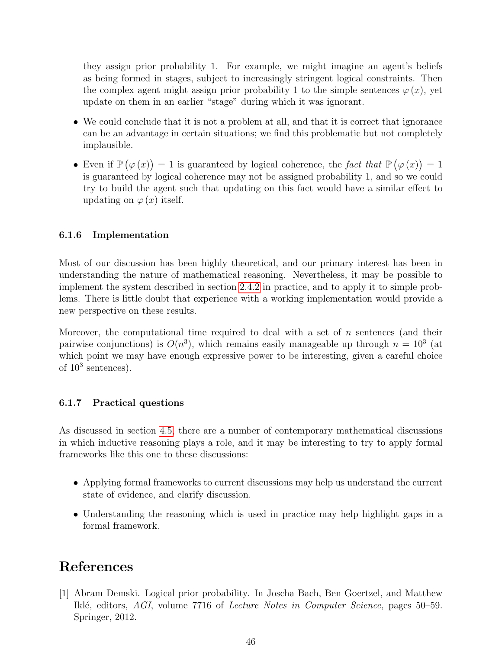they assign prior probability 1. For example, we might imagine an agent's beliefs as being formed in stages, subject to increasingly stringent logical constraints. Then the complex agent might assign prior probability 1 to the simple sentences  $\varphi(x)$ , yet update on them in an earlier "stage" during which it was ignorant.

- We could conclude that it is not a problem at all, and that it is correct that ignorance can be an advantage in certain situations; we find this problematic but not completely implausible.
- Even if  $\mathbb{P}(\varphi(x)) = 1$  is guaranteed by logical coherence, the fact that  $\mathbb{P}(\varphi(x)) = 1$ is guaranteed by logical coherence may not be assigned probability 1, and so we could try to build the agent such that updating on this fact would have a similar effect to updating on  $\varphi(x)$  itself.

#### <span id="page-45-0"></span>6.1.6 Implementation

Most of our discussion has been highly theoretical, and our primary interest has been in understanding the nature of mathematical reasoning. Nevertheless, it may be possible to implement the system described in section [2.4.2](#page-16-0) in practice, and to apply it to simple problems. There is little doubt that experience with a working implementation would provide a new perspective on these results.

Moreover, the computational time required to deal with a set of  $n$  sentences (and their pairwise conjunctions) is  $O(n^3)$ , which remains easily manageable up through  $n = 10^3$  (at which point we may have enough expressive power to be interesting, given a careful choice of  $10^3$  sentences).

#### <span id="page-45-1"></span>6.1.7 Practical questions

As discussed in section [4.5,](#page-30-0) there are a number of contemporary mathematical discussions in which inductive reasoning plays a role, and it may be interesting to try to apply formal frameworks like this one to these discussions:

- Applying formal frameworks to current discussions may help us understand the current state of evidence, and clarify discussion.
- Understanding the reasoning which is used in practice may help highlight gaps in a formal framework.

## References

<span id="page-45-2"></span>[1] Abram Demski. Logical prior probability. In Joscha Bach, Ben Goertzel, and Matthew Iklé, editors, AGI, volume 7716 of Lecture Notes in Computer Science, pages 50–59. Springer, 2012.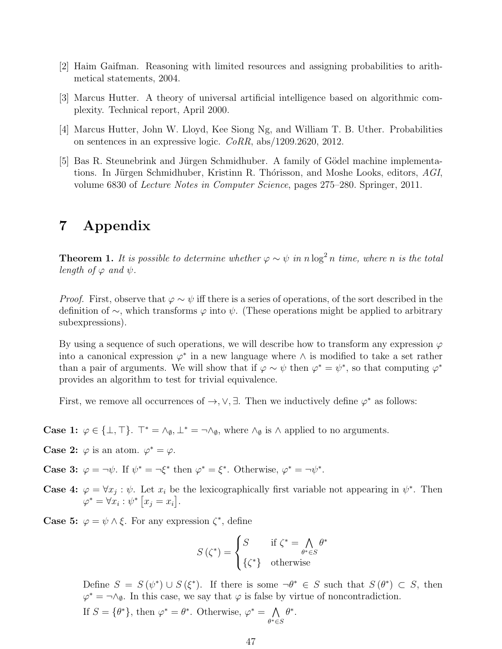- <span id="page-46-3"></span>[2] Haim Gaifman. Reasoning with limited resources and assigning probabilities to arithmetical statements, 2004.
- <span id="page-46-1"></span>[3] Marcus Hutter. A theory of universal artificial intelligence based on algorithmic complexity. Technical report, April 2000.
- <span id="page-46-4"></span>[4] Marcus Hutter, John W. Lloyd, Kee Siong Ng, and William T. B. Uther. Probabilities on sentences in an expressive logic. CoRR, abs/1209.2620, 2012.
- <span id="page-46-2"></span>[5] Bas R. Steunebrink and Jürgen Schmidhuber. A family of Gödel machine implementations. In Jürgen Schmidhuber, Kristinn R. Thórisson, and Moshe Looks, editors, AGI, volume 6830 of Lecture Notes in Computer Science, pages 275–280. Springer, 2011.

## <span id="page-46-0"></span>7 Appendix

**Theorem 1.** It is possible to determine whether  $\varphi \sim \psi$  in n log<sup>2</sup> n time, where n is the total length of  $\varphi$  and  $\psi$ .

*Proof.* First, observe that  $\varphi \sim \psi$  iff there is a series of operations, of the sort described in the definition of ∼, which transforms  $\varphi$  into  $\psi$ . (These operations might be applied to arbitrary subexpressions).

By using a sequence of such operations, we will describe how to transform any expression  $\varphi$ into a canonical expression  $\varphi^*$  in a new language where  $\wedge$  is modified to take a set rather than a pair of arguments. We will show that if  $\varphi \sim \psi$  then  $\varphi^* = \psi^*$ , so that computing  $\varphi^*$ provides an algorithm to test for trivial equivalence.

First, we remove all occurrences of  $\rightarrow$ ,  $\vee$ ,  $\exists$ . Then we inductively define  $\varphi^*$  as follows:

**Case 1:**  $\varphi \in \{\bot, \top\}$ .  $\top^* = \wedge_{\emptyset}, \bot^* = \neg \wedge_{\emptyset}$ , where  $\wedge_{\emptyset}$  is  $\wedge$  applied to no arguments.

**Case 2:**  $\varphi$  is an atom.  $\varphi^* = \varphi$ .

**Case 3:**  $\varphi = \neg \psi$ . If  $\psi^* = \neg \xi^*$  then  $\varphi^* = \xi^*$ . Otherwise,  $\varphi^* = \neg \psi^*$ .

**Case 4:**  $\varphi = \forall x_j : \psi$ . Let  $x_i$  be the lexicographically first variable not appearing in  $\psi^*$ . Then  $\varphi^* = \forall x_i : \psi^* \left[ x_j = x_i \right].$ 

**Case 5:**  $\varphi = \psi \wedge \xi$ . For any expression  $\zeta^*$ , define

$$
S(\zeta^*) = \begin{cases} S & \text{if } \zeta^* = \bigwedge_{\theta^* \in S} \theta^* \\ \{\zeta^*\} & \text{otherwise} \end{cases}
$$

Define  $S = S(\psi^*) \cup S(\xi^*)$ . If there is some  $\neg \theta^* \in S$  such that  $S(\theta^*) \subset S$ , then  $\varphi^* = \neg \wedge_{\emptyset}$ . In this case, we say that  $\varphi$  is false by virtue of noncontradiction.

If  $S = {\theta^*}$ , then  $\varphi^* = \theta^*$ . Otherwise,  $\varphi^* = \Lambda$  $\theta^*$ ∈S  $\theta^*$ .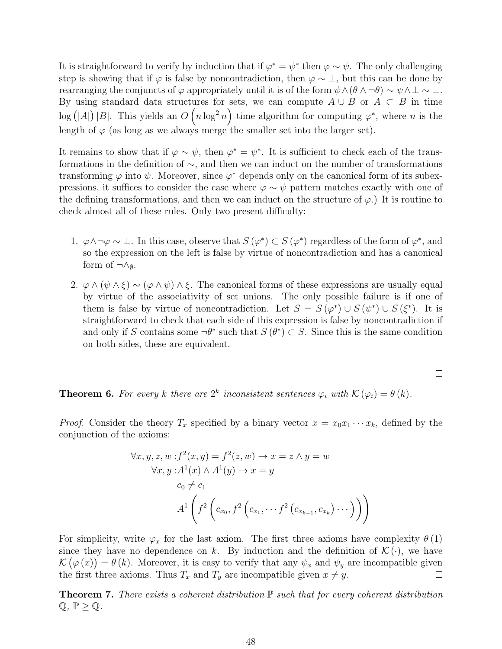It is straightforward to verify by induction that if  $\varphi^* = \psi^*$  then  $\varphi \sim \psi$ . The only challenging step is showing that if  $\varphi$  is false by noncontradiction, then  $\varphi \sim \bot$ , but this can be done by rearranging the conjuncts of  $\varphi$  appropriately until it is of the form  $\psi \wedge (\theta \wedge \neg \theta) \sim \psi \wedge \bot \sim \bot$ . By using standard data structures for sets, we can compute  $A \cup B$  or  $A \subset B$  in time  $\log (|A|) |B|$ . This yields an  $O(n \log^2 n)$  time algorithm for computing  $\varphi^*$ , where n is the length of  $\varphi$  (as long as we always merge the smaller set into the larger set).

It remains to show that if  $\varphi \sim \psi$ , then  $\varphi^* = \psi^*$ . It is sufficient to check each of the transformations in the definition of ∼, and then we can induct on the number of transformations transforming  $\varphi$  into  $\psi$ . Moreover, since  $\varphi^*$  depends only on the canonical form of its subexpressions, it suffices to consider the case where  $\varphi \sim \psi$  pattern matches exactly with one of the defining transformations, and then we can induct on the structure of  $\varphi$ .) It is routine to check almost all of these rules. Only two present difficulty:

- 1.  $\varphi \land \neg \varphi \sim \bot$ . In this case, observe that  $S(\varphi^*) \subset S(\varphi^*)$  regardless of the form of  $\varphi^*$ , and so the expression on the left is false by virtue of noncontradiction and has a canonical form of  $\neg \wedge_{\emptyset}$ .
- 2.  $\varphi \wedge (\psi \wedge \xi) \sim (\varphi \wedge \psi) \wedge \xi$ . The canonical forms of these expressions are usually equal by virtue of the associativity of set unions. The only possible failure is if one of them is false by virtue of noncontradiction. Let  $S = S(\varphi^*) \cup S(\psi^*) \cup S(\xi^*)$ . It is straightforward to check that each side of this expression is false by noncontradiction if and only if S contains some  $\neg \theta^*$  such that  $S(\theta^*) \subset S$ . Since this is the same condition on both sides, these are equivalent.

$$
\qquad \qquad \Box
$$

**Theorem 6.** For every k there are  $2^k$  inconsistent sentences  $\varphi_i$  with  $\mathcal{K}(\varphi_i) = \theta(k)$ .

*Proof.* Consider the theory  $T_x$  specified by a binary vector  $x = x_0x_1 \cdots x_k$ , defined by the conjunction of the axioms:

$$
\forall x, y, z, w : f^{2}(x, y) = f^{2}(z, w) \rightarrow x = z \land y = w
$$
  

$$
\forall x, y : A^{1}(x) \land A^{1}(y) \rightarrow x = y
$$
  

$$
c_{0} \neq c_{1}
$$
  

$$
A^{1}\left(f^{2}\left(c_{x_{0}}, f^{2}\left(c_{x_{1}}, \dots f^{2}\left(c_{x_{k-1}}, c_{x_{k}}\right) \dots\right)\right)\right)
$$

For simplicity, write  $\varphi_x$  for the last axiom. The first three axioms have complexity  $\theta(1)$ since they have no dependence on k. By induction and the definition of  $\mathcal{K}(\cdot)$ , we have  $\mathcal{K}(\varphi(x)) = \theta(k)$ . Moreover, it is easy to verify that any  $\psi_x$  and  $\psi_y$  are incompatible given the first three axioms. Thus  $T_x$  and  $T_y$  are incompatible given  $x \neq y$ .  $\Box$ 

**Theorem 7.** There exists a coherent distribution  $\mathbb P$  such that for every coherent distribution  $\mathbb{Q}, \mathbb{P} \geq \mathbb{Q}.$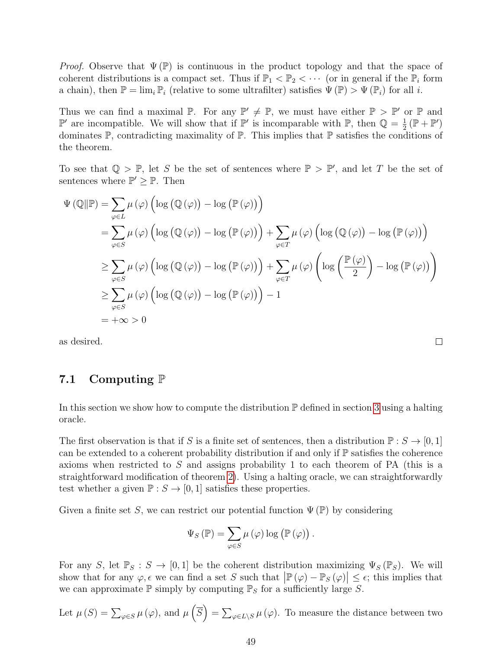*Proof.* Observe that  $\Psi(\mathbb{P})$  is continuous in the product topology and that the space of coherent distributions is a compact set. Thus if  $\mathbb{P}_1 < \mathbb{P}_2 < \cdots$  (or in general if the  $\mathbb{P}_i$  form a chain), then  $\mathbb{P} = \lim_i \mathbb{P}_i$  (relative to some ultrafilter) satisfies  $\Psi(\mathbb{P}) > \Psi(\mathbb{P}_i)$  for all i.

Thus we can find a maximal  $\mathbb{P}$ . For any  $\mathbb{P}' \neq \mathbb{P}$ , we must have either  $\mathbb{P} > \mathbb{P}'$  or  $\mathbb{P}$  and  $\mathbb{P}'$  are incompatible. We will show that if  $\mathbb{P}'$  is incomparable with  $\mathbb{P}$ , then  $\mathbb{Q} = \frac{1}{2}$  $\frac{1}{2}(\mathbb{P} + \mathbb{P}')$ dominates  $\mathbb{P}$ , contradicting maximality of  $\mathbb{P}$ . This implies that  $\mathbb{P}$  satisfies the conditions of the theorem.

To see that  $\mathbb{Q} > \mathbb{P}$ , let S be the set of sentences where  $\mathbb{P} > \mathbb{P}'$ , and let T be the set of sentences where  $\mathbb{P}' \geq \mathbb{P}$ . Then

$$
\Psi(\mathbb{Q}||\mathbb{P}) = \sum_{\varphi \in L} \mu(\varphi) \left( \log (\mathbb{Q}(\varphi)) - \log (\mathbb{P}(\varphi)) \right)
$$
\n
$$
= \sum_{\varphi \in S} \mu(\varphi) \left( \log (\mathbb{Q}(\varphi)) - \log (\mathbb{P}(\varphi)) \right) + \sum_{\varphi \in T} \mu(\varphi) \left( \log (\mathbb{Q}(\varphi)) - \log (\mathbb{P}(\varphi)) \right)
$$
\n
$$
\geq \sum_{\varphi \in S} \mu(\varphi) \left( \log (\mathbb{Q}(\varphi)) - \log (\mathbb{P}(\varphi)) \right) + \sum_{\varphi \in T} \mu(\varphi) \left( \log \left( \frac{\mathbb{P}(\varphi)}{2} \right) - \log (\mathbb{P}(\varphi)) \right)
$$
\n
$$
\geq \sum_{\varphi \in S} \mu(\varphi) \left( \log (\mathbb{Q}(\varphi)) - \log (\mathbb{P}(\varphi)) \right) - 1
$$
\n
$$
= +\infty > 0
$$

as desired.

### <span id="page-48-0"></span>7.1 Computing  $\mathbb P$

In this section we show how to compute the distribution  $\mathbb P$  defined in section [3](#page-19-1) using a halting oracle.

The first observation is that if S is a finite set of sentences, then a distribution  $\mathbb{P}: S \to [0,1]$ can be extended to a coherent probability distribution if and only if  $\mathbb P$  satisfies the coherence axioms when restricted to S and assigns probability 1 to each theorem of PA (this is a straightforward modification of theorem [2\)](#page-10-0). Using a halting oracle, we can straightforwardly test whether a given  $\mathbb{P}: S \to [0,1]$  satisfies these properties.

Given a finite set S, we can restrict our potential function  $\Psi(\mathbb{P})$  by considering

$$
\Psi_{S}(\mathbb{P}) = \sum_{\varphi \in S} \mu(\varphi) \log (\mathbb{P}(\varphi)).
$$

For any S, let  $\mathbb{P}_S : S \to [0,1]$  be the coherent distribution maximizing  $\Psi_S(\mathbb{P}_S)$ . We will show that for any  $\varphi, \epsilon$  we can find a set S such that  $\left| \mathbb{P}(\varphi) - \mathbb{P}_S(\varphi) \right| \leq \epsilon$ ; this implies that we can approximate  $\mathbb P$  simply by computing  $\mathbb P_S$  for a sufficiently large S.

Let 
$$
\mu(S) = \sum_{\varphi \in S} \mu(\varphi)
$$
, and  $\mu(\overline{S}) = \sum_{\varphi \in L \setminus S} \mu(\varphi)$ . To measure the distance between two

 $\Box$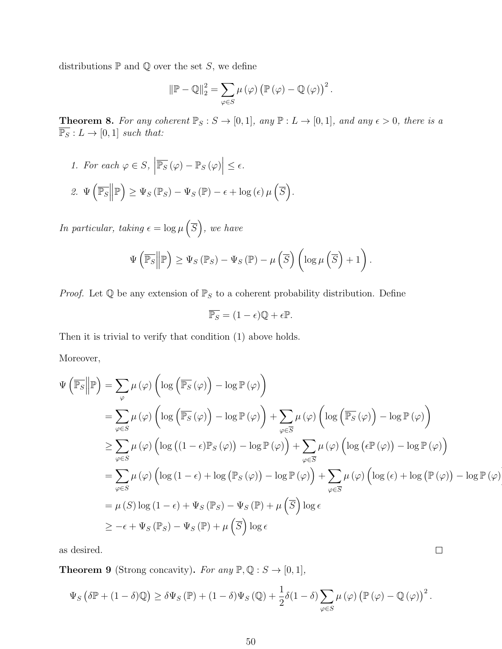distributions  $\mathbb P$  and  $\mathbb Q$  over the set S, we define

$$
\|\mathbb{P} - \mathbb{Q}\|_2^2 = \sum_{\varphi \in S} \mu(\varphi) \left(\mathbb{P}(\varphi) - \mathbb{Q}(\varphi)\right)^2.
$$

**Theorem 8.** For any coherent  $\mathbb{P}_S : S \to [0,1]$ , any  $\mathbb{P} : L \to [0,1]$ , and any  $\epsilon > 0$ , there is a  $\overline{\mathbb{P}_S}: L \to [0,1]$  such that:

1. For each  $\varphi \in S$ ,  $\overline{\mathbb{P}_S}\left(\varphi\right) - \mathbb{P}_S\left(\varphi\right) \Big| \leq \epsilon.$ 2.  $\Psi\left(\overline{\mathbb{P}_S}\right)$  $\mathbb{P}\Big)\geq \Psi_S\left(\mathbb{P}_S\right)-\Psi_S\left(\mathbb{P}\right)-\epsilon+\log\left(\epsilon\right)\mu\left(\overline{S}\right).$ 

In particular, taking  $\epsilon = \log \mu \left( \overline{S} \right)$ , we have

$$
\Psi\left(\overline{\mathbb{P}_S}\middle\|\mathbb{P}\right) \geq \Psi_S\left(\mathbb{P}_S\right) - \Psi_S\left(\mathbb{P}\right) - \mu\left(\overline{S}\right)\left(\log \mu\left(\overline{S}\right) + 1\right).
$$

*Proof.* Let  $\mathbb Q$  be any extension of  $\mathbb P_S$  to a coherent probability distribution. Define

$$
\overline{\mathbb{P}_S} = (1 - \epsilon)\mathbb{Q} + \epsilon \mathbb{P}.
$$

Then it is trivial to verify that condition (1) above holds.

Moreover,

$$
\Psi\left(\overline{\mathbb{P}_{S}}\middle|\mathbb{P}\right) = \sum_{\varphi} \mu\left(\varphi\right)\left(\log\left(\overline{\mathbb{P}_{S}}\left(\varphi\right)\right) - \log \mathbb{P}\left(\varphi\right)\right)
$$
\n
$$
= \sum_{\varphi \in S} \mu\left(\varphi\right)\left(\log\left(\overline{\mathbb{P}_{S}}\left(\varphi\right)\right) - \log \mathbb{P}\left(\varphi\right)\right) + \sum_{\varphi \in \overline{S}} \mu\left(\varphi\right)\left(\log\left(\overline{\mathbb{P}_{S}}\left(\varphi\right)\right) - \log \mathbb{P}\left(\varphi\right)\right)
$$
\n
$$
\geq \sum_{\varphi \in S} \mu\left(\varphi\right)\left(\log\left((1 - \epsilon)\mathbb{P}_{S}\left(\varphi\right)\right) - \log \mathbb{P}\left(\varphi\right)\right) + \sum_{\varphi \in \overline{S}} \mu\left(\varphi\right)\left(\log\left(\epsilon \mathbb{P}\left(\varphi\right)\right) - \log \mathbb{P}\left(\varphi\right)\right)
$$
\n
$$
= \sum_{\varphi \in S} \mu\left(\varphi\right)\left(\log\left(1 - \epsilon\right) + \log\left(\mathbb{P}_{S}\left(\varphi\right)\right) - \log \mathbb{P}\left(\varphi\right)\right) + \sum_{\varphi \in \overline{S}} \mu\left(\varphi\right)\left(\log\left(\epsilon\right) + \log\left(\mathbb{P}\left(\varphi\right)\right) - \log \mathbb{P}\left(\varphi\right)\right)
$$
\n
$$
= \mu\left(S\right)\log\left(1 - \epsilon\right) + \Psi_{S}\left(\mathbb{P}_{S}\right) - \Psi_{S}\left(\mathbb{P}\right) + \mu\left(\overline{S}\right)\log\epsilon
$$
\n
$$
\geq -\epsilon + \Psi_{S}\left(\mathbb{P}_{S}\right) - \Psi_{S}\left(\mathbb{P}\right) + \mu\left(\overline{S}\right)\log\epsilon
$$

 $\Box$ 

as desired.

<span id="page-49-0"></span>**Theorem 9** (Strong concavity). For any  $\mathbb{P}, \mathbb{Q}: S \to [0,1],$ 

$$
\Psi_S \left( \delta \mathbb{P} + (1 - \delta) \mathbb{Q} \right) \ge \delta \Psi_S \left( \mathbb{P} \right) + (1 - \delta) \Psi_S \left( \mathbb{Q} \right) + \frac{1}{2} \delta (1 - \delta) \sum_{\varphi \in S} \mu \left( \varphi \right) \left( \mathbb{P} \left( \varphi \right) - \mathbb{Q} \left( \varphi \right) \right)^2.
$$